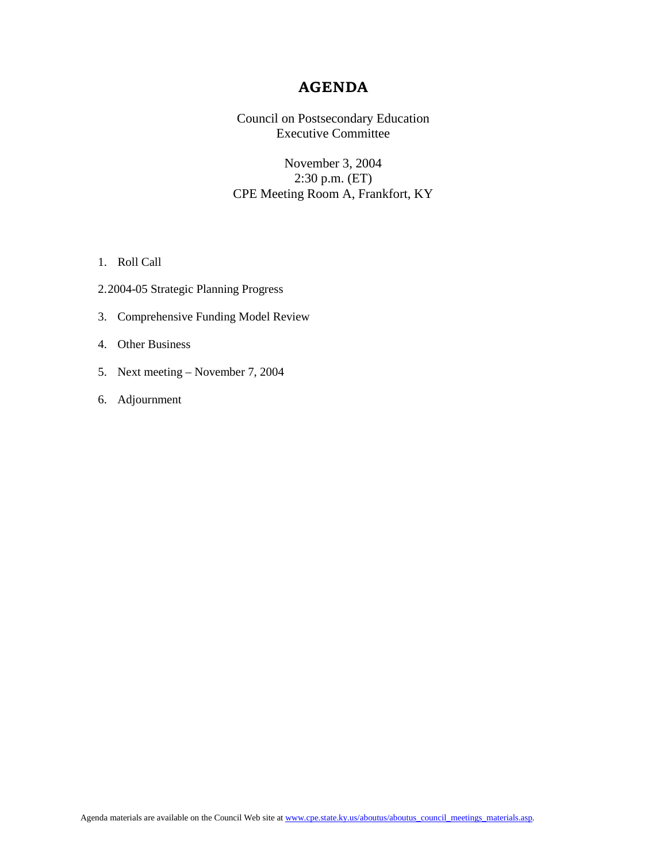### **AGENDA**

Council on Postsecondary Education Executive Committee

November 3, 2004 2:30 p.m. (ET) CPE Meeting Room A, Frankfort, KY

- 1. Roll Call
- 2.2004-05 Strategic Planning Progress
- 3. Comprehensive Funding Model Review
- 4. Other Business
- 5. Next meeting November 7, 2004
- 6. Adjournment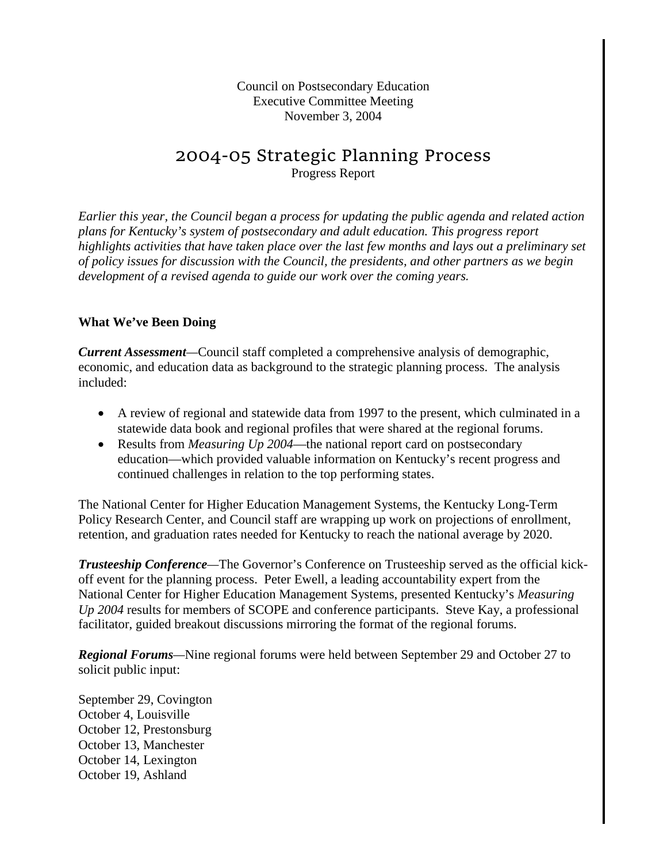Council on Postsecondary Education Executive Committee Meeting November 3, 2004

# 2004-05 Strategic Planning Process

Progress Report

*Earlier this year, the Council began a process for updating the public agenda and related action plans for Kentucky's system of postsecondary and adult education. This progress report highlights activities that have taken place over the last few months and lays out a preliminary set of policy issues for discussion with the Council, the presidents, and other partners as we begin development of a revised agenda to guide our work over the coming years.* 

## **What We've Been Doing**

*Current Assessment—*Council staff completed a comprehensive analysis of demographic, economic, and education data as background to the strategic planning process. The analysis included:

- A review of regional and statewide data from 1997 to the present, which culminated in a statewide data book and regional profiles that were shared at the regional forums.
- Results from *Measuring Up 2004*—the national report card on postsecondary education—which provided valuable information on Kentucky's recent progress and continued challenges in relation to the top performing states.

The National Center for Higher Education Management Systems, the Kentucky Long-Term Policy Research Center, and Council staff are wrapping up work on projections of enrollment, retention, and graduation rates needed for Kentucky to reach the national average by 2020.

*Trusteeship Conference—*The Governor's Conference on Trusteeship served as the official kickoff event for the planning process. Peter Ewell, a leading accountability expert from the National Center for Higher Education Management Systems, presented Kentucky's *Measuring Up 2004* results for members of SCOPE and conference participants. Steve Kay, a professional facilitator, guided breakout discussions mirroring the format of the regional forums.

*Regional Forums—*Nine regional forums were held between September 29 and October 27 to solicit public input:

September 29, Covington October 4, Louisville October 12, Prestonsburg October 13, Manchester October 14, Lexington October 19, Ashland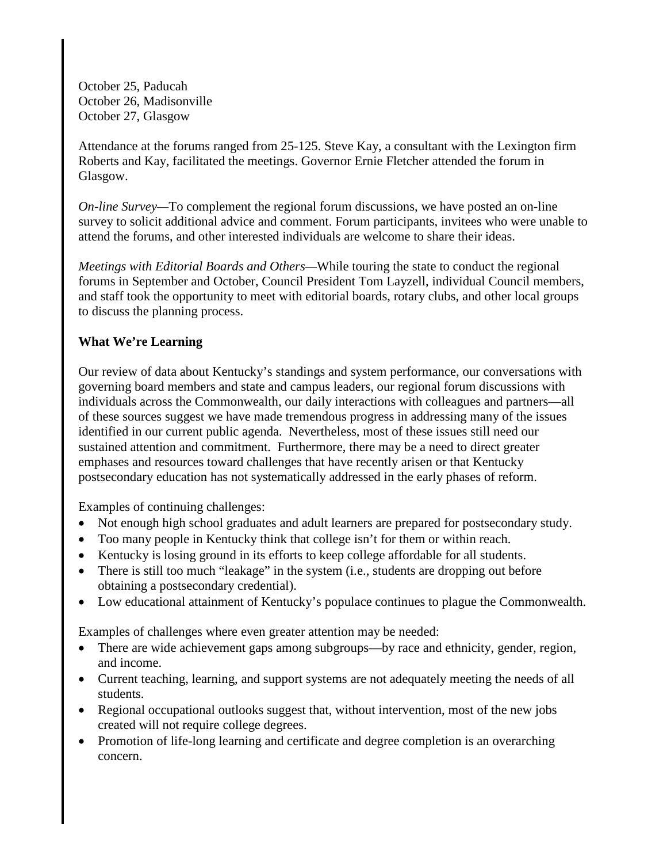October 25, Paducah October 26, Madisonville October 27, Glasgow

Attendance at the forums ranged from 25-125. Steve Kay, a consultant with the Lexington firm Roberts and Kay, facilitated the meetings. Governor Ernie Fletcher attended the forum in Glasgow.

*On-line Survey—*To complement the regional forum discussions, we have posted an on-line survey to solicit additional advice and comment. Forum participants, invitees who were unable to attend the forums, and other interested individuals are welcome to share their ideas.

*Meetings with Editorial Boards and Others—*While touring the state to conduct the regional forums in September and October, Council President Tom Layzell, individual Council members, and staff took the opportunity to meet with editorial boards, rotary clubs, and other local groups to discuss the planning process.

## **What We're Learning**

Our review of data about Kentucky's standings and system performance, our conversations with governing board members and state and campus leaders, our regional forum discussions with individuals across the Commonwealth, our daily interactions with colleagues and partners—all of these sources suggest we have made tremendous progress in addressing many of the issues identified in our current public agenda. Nevertheless, most of these issues still need our sustained attention and commitment. Furthermore, there may be a need to direct greater emphases and resources toward challenges that have recently arisen or that Kentucky postsecondary education has not systematically addressed in the early phases of reform.

Examples of continuing challenges:

- Not enough high school graduates and adult learners are prepared for postsecondary study.
- Too many people in Kentucky think that college isn't for them or within reach.
- Kentucky is losing ground in its efforts to keep college affordable for all students.
- There is still too much "leakage" in the system (i.e., students are dropping out before obtaining a postsecondary credential).
- Low educational attainment of Kentucky's populace continues to plague the Commonwealth.

Examples of challenges where even greater attention may be needed:

- There are wide achievement gaps among subgroups—by race and ethnicity, gender, region, and income.
- Current teaching, learning, and support systems are not adequately meeting the needs of all students.
- Regional occupational outlooks suggest that, without intervention, most of the new jobs created will not require college degrees.
- Promotion of life-long learning and certificate and degree completion is an overarching concern.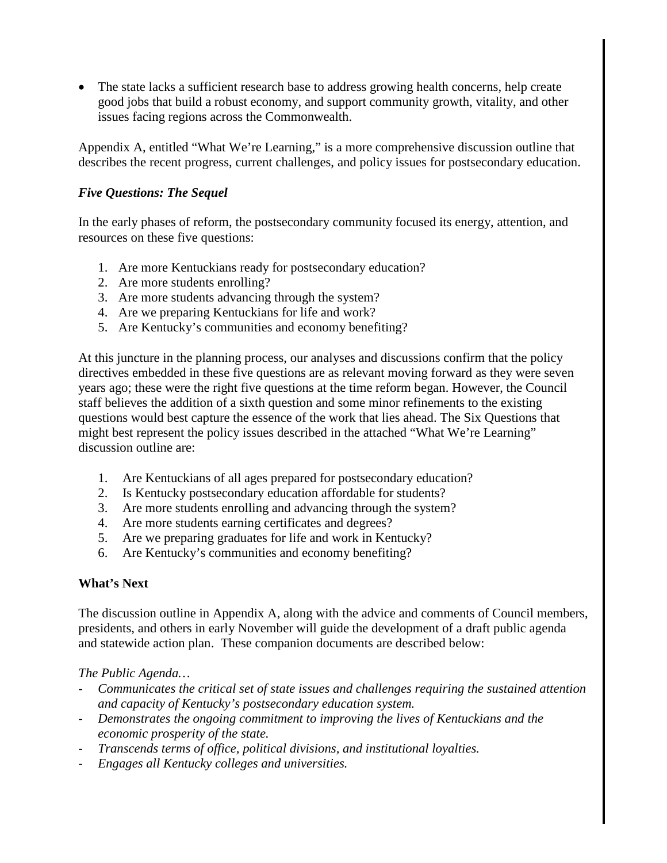• The state lacks a sufficient research base to address growing health concerns, help create good jobs that build a robust economy, and support community growth, vitality, and other issues facing regions across the Commonwealth.

Appendix A, entitled "What We're Learning," is a more comprehensive discussion outline that describes the recent progress, current challenges, and policy issues for postsecondary education.

## *Five Questions: The Sequel*

In the early phases of reform, the postsecondary community focused its energy, attention, and resources on these five questions:

- 1. Are more Kentuckians ready for postsecondary education?
- 2. Are more students enrolling?
- 3. Are more students advancing through the system?
- 4. Are we preparing Kentuckians for life and work?
- 5. Are Kentucky's communities and economy benefiting?

At this juncture in the planning process, our analyses and discussions confirm that the policy directives embedded in these five questions are as relevant moving forward as they were seven years ago; these were the right five questions at the time reform began. However, the Council staff believes the addition of a sixth question and some minor refinements to the existing questions would best capture the essence of the work that lies ahead. The Six Questions that might best represent the policy issues described in the attached "What We're Learning" discussion outline are:

- 1. Are Kentuckians of all ages prepared for postsecondary education?
- 2. Is Kentucky postsecondary education affordable for students?
- 3. Are more students enrolling and advancing through the system?
- 4. Are more students earning certificates and degrees?
- 5. Are we preparing graduates for life and work in Kentucky?
- 6. Are Kentucky's communities and economy benefiting?

### **What's Next**

The discussion outline in Appendix A, along with the advice and comments of Council members, presidents, and others in early November will guide the development of a draft public agenda and statewide action plan. These companion documents are described below:

*The Public Agenda…*

- *Communicates the critical set of state issues and challenges requiring the sustained attention and capacity of Kentucky's postsecondary education system.*
- *Demonstrates the ongoing commitment to improving the lives of Kentuckians and the economic prosperity of the state.*
- *Transcends terms of office, political divisions, and institutional loyalties.*
- *Engages all Kentucky colleges and universities.*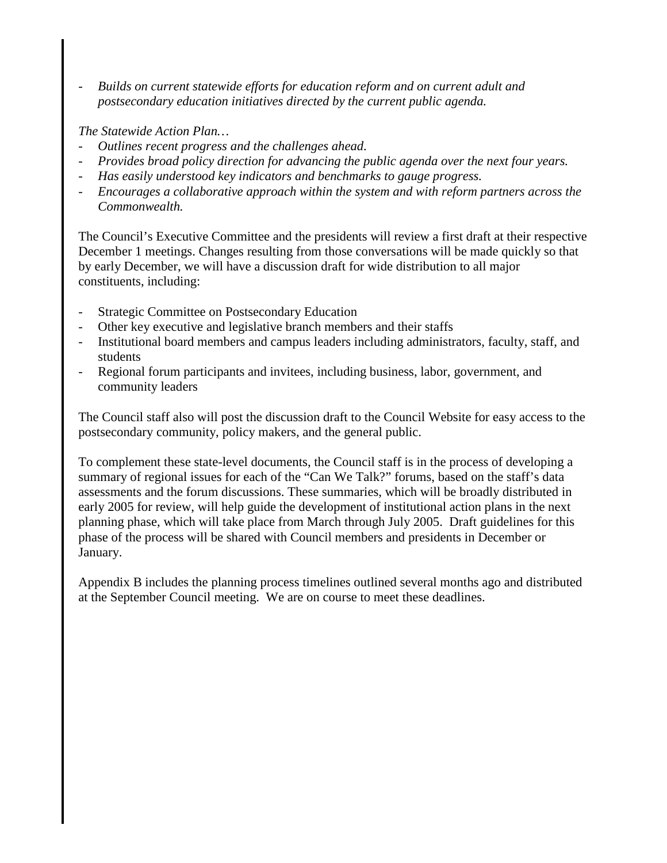- *Builds on current statewide efforts for education reform and on current adult and postsecondary education initiatives directed by the current public agenda.*

*The Statewide Action Plan…*

- *Outlines recent progress and the challenges ahead.*
- *Provides broad policy direction for advancing the public agenda over the next four years.*
- *Has easily understood key indicators and benchmarks to gauge progress.*
- *Encourages a collaborative approach within the system and with reform partners across the Commonwealth.*

The Council's Executive Committee and the presidents will review a first draft at their respective December 1 meetings. Changes resulting from those conversations will be made quickly so that by early December, we will have a discussion draft for wide distribution to all major constituents, including:

- Strategic Committee on Postsecondary Education
- Other key executive and legislative branch members and their staffs
- Institutional board members and campus leaders including administrators, faculty, staff, and students
- Regional forum participants and invitees, including business, labor, government, and community leaders

The Council staff also will post the discussion draft to the Council Website for easy access to the postsecondary community, policy makers, and the general public.

To complement these state-level documents, the Council staff is in the process of developing a summary of regional issues for each of the "Can We Talk?" forums, based on the staff's data assessments and the forum discussions. These summaries, which will be broadly distributed in early 2005 for review, will help guide the development of institutional action plans in the next planning phase, which will take place from March through July 2005. Draft guidelines for this phase of the process will be shared with Council members and presidents in December or January.

Appendix B includes the planning process timelines outlined several months ago and distributed at the September Council meeting. We are on course to meet these deadlines.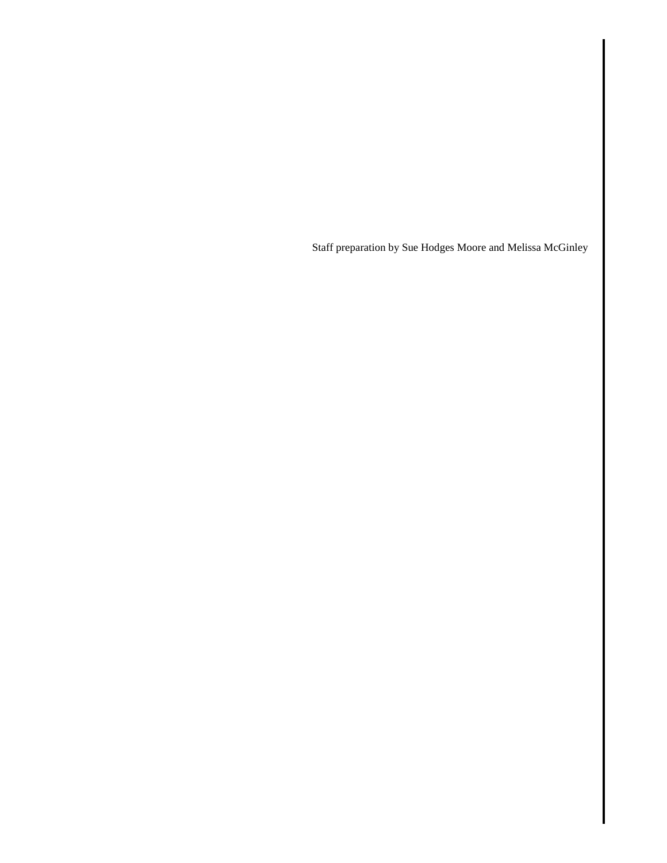Staff preparation by Sue Hodges Moore and Melissa McGinley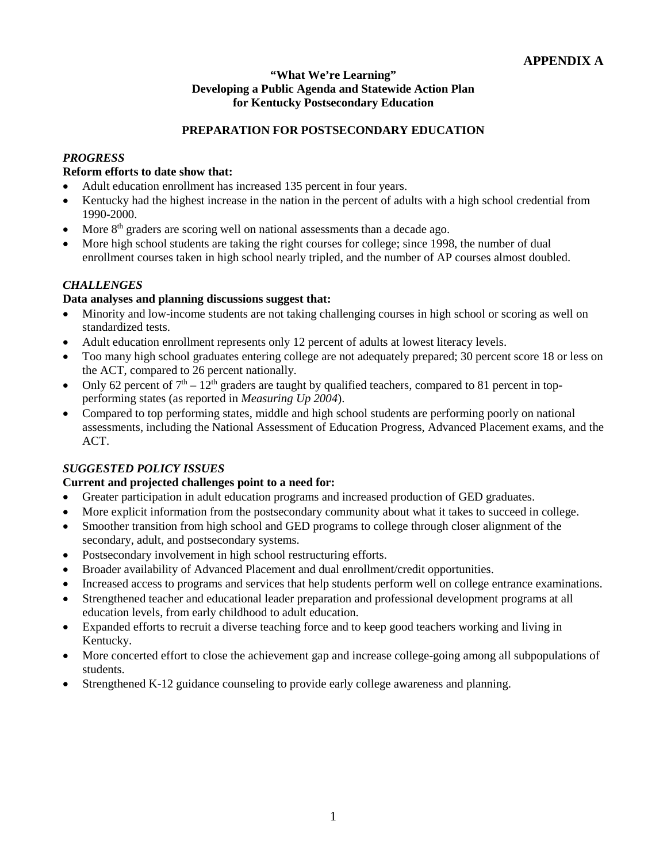#### **"What We're Learning" Developing a Public Agenda and Statewide Action Plan for Kentucky Postsecondary Education**

#### **PREPARATION FOR POSTSECONDARY EDUCATION**

#### *PROGRESS*

#### **Reform efforts to date show that:**

- Adult education enrollment has increased 135 percent in four years.
- Kentucky had the highest increase in the nation in the percent of adults with a high school credential from 1990-2000.
- More  $8<sup>th</sup>$  graders are scoring well on national assessments than a decade ago.
- More high school students are taking the right courses for college; since 1998, the number of dual enrollment courses taken in high school nearly tripled, and the number of AP courses almost doubled.

#### *CHALLENGES*

#### **Data analyses and planning discussions suggest that:**

- Minority and low-income students are not taking challenging courses in high school or scoring as well on standardized tests.
- Adult education enrollment represents only 12 percent of adults at lowest literacy levels.
- Too many high school graduates entering college are not adequately prepared; 30 percent score 18 or less on the ACT, compared to 26 percent nationally.
- Only 62 percent of  $7<sup>th</sup> 12<sup>th</sup>$  graders are taught by qualified teachers, compared to 81 percent in topperforming states (as reported in *Measuring Up 2004*).
- Compared to top performing states, middle and high school students are performing poorly on national assessments, including the National Assessment of Education Progress, Advanced Placement exams, and the ACT.

### *SUGGESTED POLICY ISSUES*

- Greater participation in adult education programs and increased production of GED graduates.
- More explicit information from the postsecondary community about what it takes to succeed in college.
- Smoother transition from high school and GED programs to college through closer alignment of the secondary, adult, and postsecondary systems.
- Postsecondary involvement in high school restructuring efforts.
- Broader availability of Advanced Placement and dual enrollment/credit opportunities.
- Increased access to programs and services that help students perform well on college entrance examinations.
- Strengthened teacher and educational leader preparation and professional development programs at all education levels, from early childhood to adult education.
- Expanded efforts to recruit a diverse teaching force and to keep good teachers working and living in Kentucky.
- More concerted effort to close the achievement gap and increase college-going among all subpopulations of students.
- Strengthened K-12 guidance counseling to provide early college awareness and planning.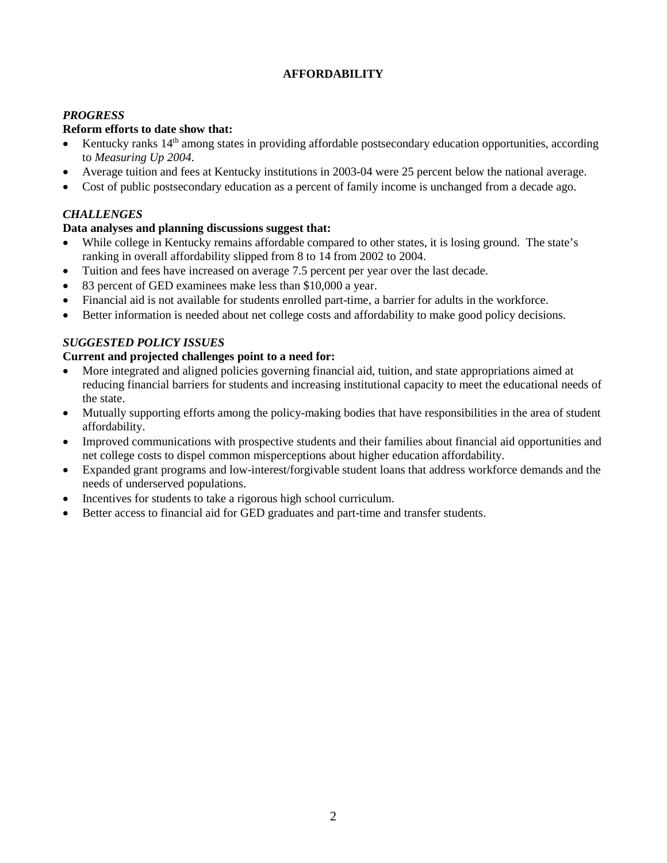#### **AFFORDABILITY**

#### *PROGRESS*

#### **Reform efforts to date show that:**

- Kentucky ranks 14<sup>th</sup> among states in providing affordable postsecondary education opportunities, according to *Measuring Up 2004*.
- Average tuition and fees at Kentucky institutions in 2003-04 were 25 percent below the national average.
- Cost of public postsecondary education as a percent of family income is unchanged from a decade ago.

#### *CHALLENGES*

#### **Data analyses and planning discussions suggest that:**

- While college in Kentucky remains affordable compared to other states, it is losing ground. The state's ranking in overall affordability slipped from 8 to 14 from 2002 to 2004.
- Tuition and fees have increased on average 7.5 percent per year over the last decade.
- 83 percent of GED examinees make less than \$10,000 a year.
- Financial aid is not available for students enrolled part-time, a barrier for adults in the workforce.
- Better information is needed about net college costs and affordability to make good policy decisions.

#### *SUGGESTED POLICY ISSUES*

- More integrated and aligned policies governing financial aid, tuition, and state appropriations aimed at reducing financial barriers for students and increasing institutional capacity to meet the educational needs of the state.
- Mutually supporting efforts among the policy-making bodies that have responsibilities in the area of student affordability.
- Improved communications with prospective students and their families about financial aid opportunities and net college costs to dispel common misperceptions about higher education affordability.
- Expanded grant programs and low-interest/forgivable student loans that address workforce demands and the needs of underserved populations.
- Incentives for students to take a rigorous high school curriculum.
- Better access to financial aid for GED graduates and part-time and transfer students.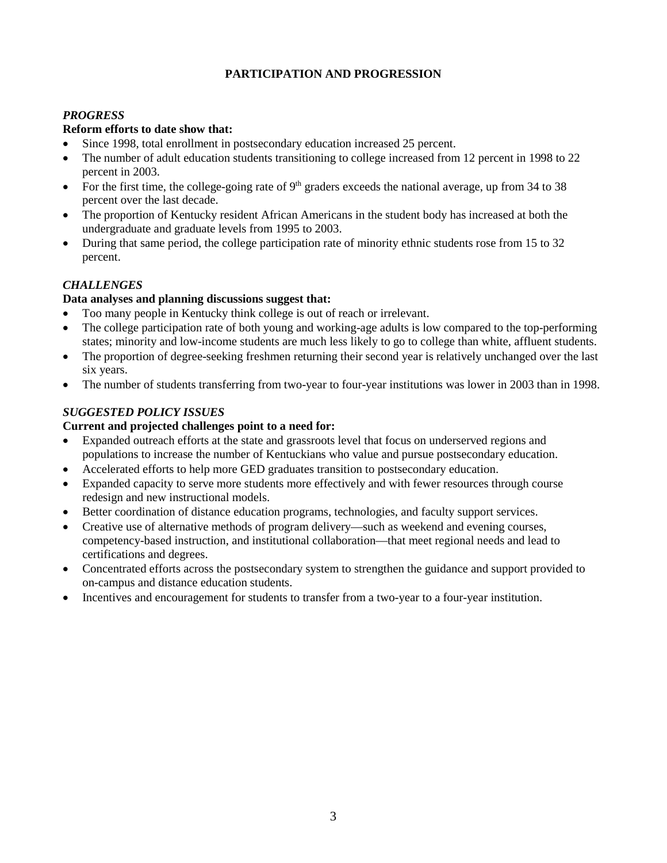#### **PARTICIPATION AND PROGRESSION**

#### *PROGRESS*

#### **Reform efforts to date show that:**

- Since 1998, total enrollment in postsecondary education increased 25 percent.
- The number of adult education students transitioning to college increased from 12 percent in 1998 to 22 percent in 2003.
- For the first time, the college-going rate of  $9<sup>th</sup>$  graders exceeds the national average, up from 34 to 38 percent over the last decade.
- The proportion of Kentucky resident African Americans in the student body has increased at both the undergraduate and graduate levels from 1995 to 2003.
- During that same period, the college participation rate of minority ethnic students rose from 15 to 32 percent.

#### *CHALLENGES*

#### **Data analyses and planning discussions suggest that:**

- Too many people in Kentucky think college is out of reach or irrelevant.
- The college participation rate of both young and working-age adults is low compared to the top-performing states; minority and low-income students are much less likely to go to college than white, affluent students.
- The proportion of degree-seeking freshmen returning their second year is relatively unchanged over the last six years.
- The number of students transferring from two-year to four-year institutions was lower in 2003 than in 1998.

#### *SUGGESTED POLICY ISSUES*

- Expanded outreach efforts at the state and grassroots level that focus on underserved regions and populations to increase the number of Kentuckians who value and pursue postsecondary education.
- Accelerated efforts to help more GED graduates transition to postsecondary education.
- Expanded capacity to serve more students more effectively and with fewer resources through course redesign and new instructional models.
- Better coordination of distance education programs, technologies, and faculty support services.
- Creative use of alternative methods of program delivery—such as weekend and evening courses. competency-based instruction, and institutional collaboration—that meet regional needs and lead to certifications and degrees.
- Concentrated efforts across the postsecondary system to strengthen the guidance and support provided to on-campus and distance education students.
- Incentives and encouragement for students to transfer from a two-year to a four-year institution.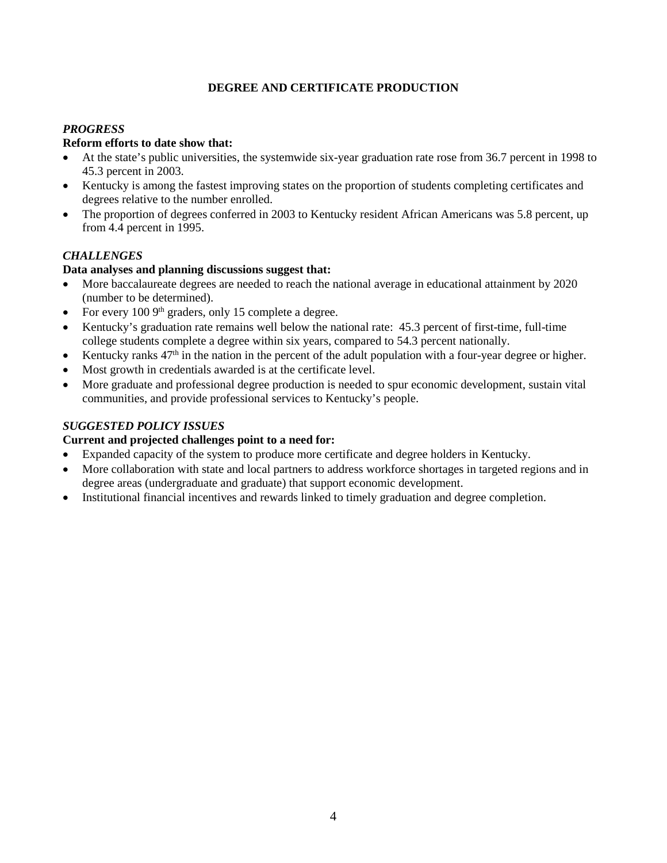### **DEGREE AND CERTIFICATE PRODUCTION**

### *PROGRESS*

#### **Reform efforts to date show that:**

- At the state's public universities, the systemwide six-year graduation rate rose from 36.7 percent in 1998 to 45.3 percent in 2003.
- Kentucky is among the fastest improving states on the proportion of students completing certificates and degrees relative to the number enrolled.
- The proportion of degrees conferred in 2003 to Kentucky resident African Americans was 5.8 percent, up from 4.4 percent in 1995.

#### *CHALLENGES*

#### **Data analyses and planning discussions suggest that:**

- More baccalaureate degrees are needed to reach the national average in educational attainment by 2020 (number to be determined).
- For every  $100.9<sup>th</sup>$  graders, only 15 complete a degree.
- Kentucky's graduation rate remains well below the national rate: 45.3 percent of first-time, full-time college students complete a degree within six years, compared to 54.3 percent nationally.
- Kentucky ranks  $47<sup>th</sup>$  in the nation in the percent of the adult population with a four-year degree or higher.
- Most growth in credentials awarded is at the certificate level.
- More graduate and professional degree production is needed to spur economic development, sustain vital communities, and provide professional services to Kentucky's people.

#### *SUGGESTED POLICY ISSUES*

- Expanded capacity of the system to produce more certificate and degree holders in Kentucky.
- More collaboration with state and local partners to address workforce shortages in targeted regions and in degree areas (undergraduate and graduate) that support economic development.
- Institutional financial incentives and rewards linked to timely graduation and degree completion.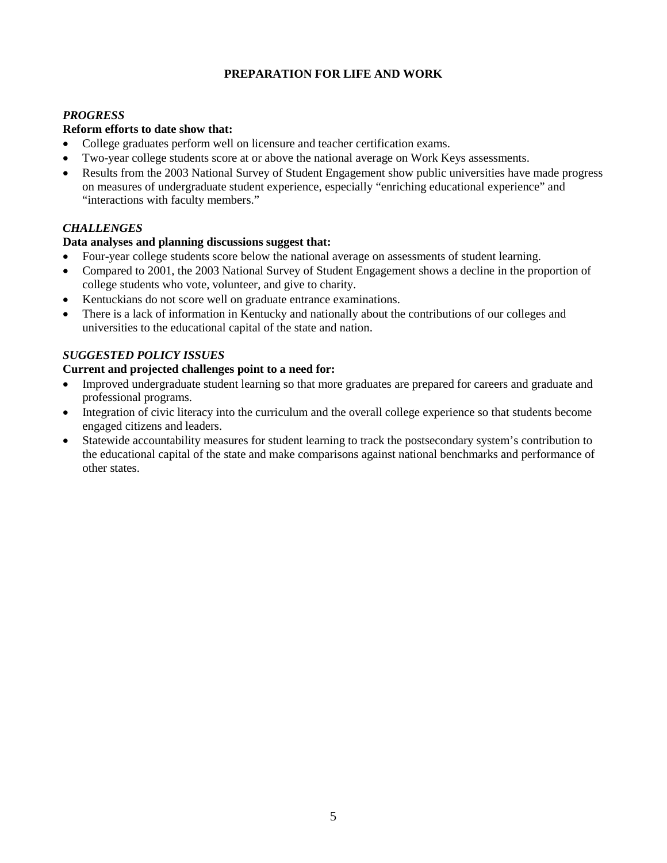#### **PREPARATION FOR LIFE AND WORK**

#### *PROGRESS*

#### **Reform efforts to date show that:**

- College graduates perform well on licensure and teacher certification exams.
- Two-year college students score at or above the national average on Work Keys assessments.
- Results from the 2003 National Survey of Student Engagement show public universities have made progress on measures of undergraduate student experience, especially "enriching educational experience" and "interactions with faculty members."

#### *CHALLENGES*

#### **Data analyses and planning discussions suggest that:**

- Four-year college students score below the national average on assessments of student learning.
- Compared to 2001, the 2003 National Survey of Student Engagement shows a decline in the proportion of college students who vote, volunteer, and give to charity.
- Kentuckians do not score well on graduate entrance examinations.
- There is a lack of information in Kentucky and nationally about the contributions of our colleges and universities to the educational capital of the state and nation.

#### *SUGGESTED POLICY ISSUES*

- Improved undergraduate student learning so that more graduates are prepared for careers and graduate and professional programs.
- Integration of civic literacy into the curriculum and the overall college experience so that students become engaged citizens and leaders.
- Statewide accountability measures for student learning to track the postsecondary system's contribution to the educational capital of the state and make comparisons against national benchmarks and performance of other states.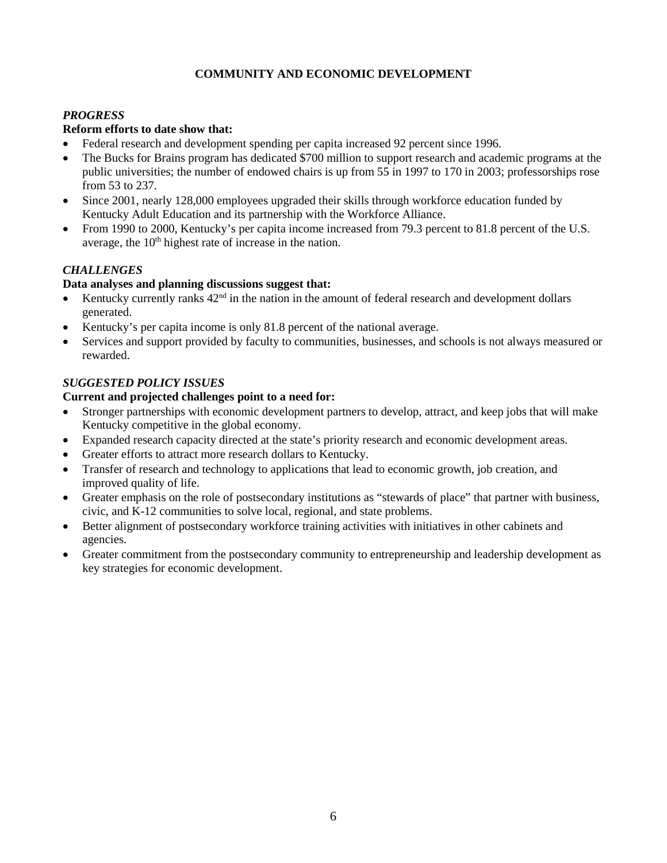#### **COMMUNITY AND ECONOMIC DEVELOPMENT**

#### *PROGRESS*

#### **Reform efforts to date show that:**

- Federal research and development spending per capita increased 92 percent since 1996.
- The Bucks for Brains program has dedicated \$700 million to support research and academic programs at the public universities; the number of endowed chairs is up from 55 in 1997 to 170 in 2003; professorships rose from 53 to 237.
- Since 2001, nearly 128,000 employees upgraded their skills through workforce education funded by Kentucky Adult Education and its partnership with the Workforce Alliance.
- From 1990 to 2000, Kentucky's per capita income increased from 79.3 percent to 81.8 percent of the U.S. average, the  $10<sup>th</sup>$  highest rate of increase in the nation.

#### *CHALLENGES*

#### **Data analyses and planning discussions suggest that:**

- Kentucky currently ranks  $42<sup>nd</sup>$  in the nation in the amount of federal research and development dollars generated.
- Kentucky's per capita income is only 81.8 percent of the national average.
- Services and support provided by faculty to communities, businesses, and schools is not always measured or rewarded.

#### *SUGGESTED POLICY ISSUES*

- Stronger partnerships with economic development partners to develop, attract, and keep jobs that will make Kentucky competitive in the global economy.
- Expanded research capacity directed at the state's priority research and economic development areas.
- Greater efforts to attract more research dollars to Kentucky.
- Transfer of research and technology to applications that lead to economic growth, job creation, and improved quality of life.
- Greater emphasis on the role of postsecondary institutions as "stewards of place" that partner with business, civic, and K-12 communities to solve local, regional, and state problems.
- Better alignment of postsecondary workforce training activities with initiatives in other cabinets and agencies.
- Greater commitment from the postsecondary community to entrepreneurship and leadership development as key strategies for economic development.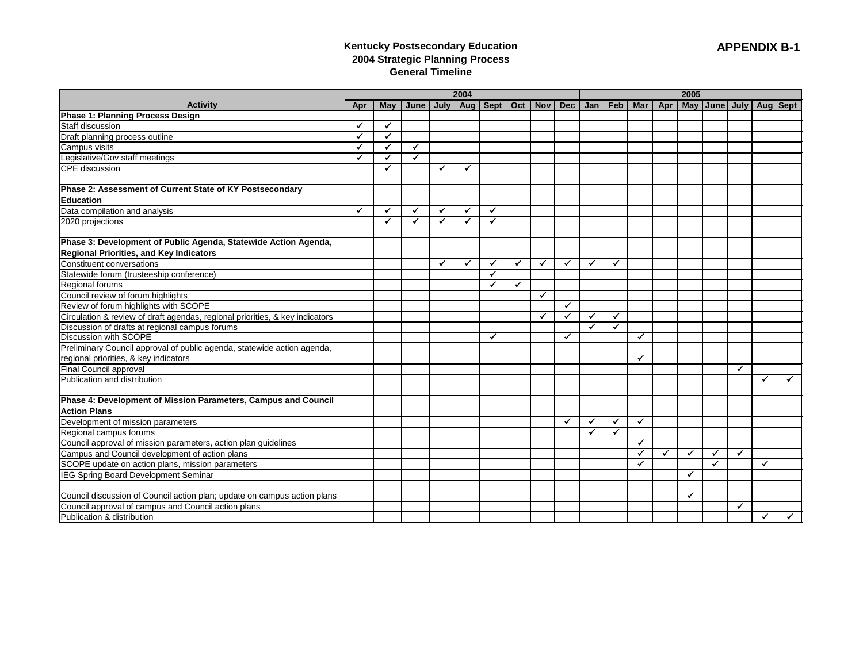# **Kentucky Postsecondary Education 2004 Strategic Planning Process General Timeline**

| <b>Activity</b><br>June   July   Aug   Sept  <br>Oct   Nov  <br><b>Dec</b><br>Jan   Feb  <br><b>Mar</b><br>Apr<br>May   June   July   Aug   Sept<br><b>May</b><br>Apr<br><b>Phase 1: Planning Process Design</b><br>$\checkmark$<br>✓<br>Draft planning process outline<br>✔<br>$\checkmark$<br>Campus visits<br>Legislative/Gov staff meetings<br>CPE discussion<br>✓<br>$\checkmark$<br>$\checkmark$<br>✓<br>$\checkmark$<br>✓<br>✓<br>✓<br>✓<br>Phase 2: Assessment of Current State of KY Postsecondary<br><b>Education</b><br>Data compilation and analysis<br>✓<br>✓<br>$\checkmark$<br>✓<br>✓<br>✔<br>✓<br>✓<br>$\checkmark$<br>✓<br>Phase 3: Development of Public Agenda, Statewide Action Agenda,<br><b>Regional Priorities, and Key Indicators</b><br>Constituent conversations<br>$\checkmark$<br>$\checkmark$<br>$\checkmark$<br>$\checkmark$<br>$\checkmark$<br>$\checkmark$<br>$\checkmark$<br>✓<br>Statewide forum (trusteeship conference)<br>$\checkmark$<br>Regional forums<br>✓<br>$\checkmark$<br>Council review of forum highlights<br>✓<br>Review of forum highlights with SCOPE<br>$\checkmark$<br>Circulation & review of draft agendas, regional priorities, & key indicators<br>Discussion of drafts at regional campus forums<br>$\checkmark$<br>$\checkmark$<br>$\checkmark$<br>✓<br>$\checkmark$<br>✓<br><b>Discussion with SCOPE</b><br>$\blacktriangledown$<br>✓<br>$\checkmark$<br>Preliminary Council approval of public agenda, statewide action agenda,<br>regional priorities, & key indicators<br>✔<br>Final Council approval<br>$\checkmark$<br>✓<br>$\checkmark$<br>Phase 4: Development of Mission Parameters, Campus and Council<br><b>Action Plans</b><br>Development of mission parameters<br>$\checkmark$<br>$\checkmark$<br>$\checkmark$<br>✓<br>Regional campus forums<br>$\checkmark$<br>$\checkmark$<br>Council approval of mission parameters, action plan guidelines<br>$\checkmark$<br>Campus and Council development of action plans<br>$\checkmark$<br>$\checkmark$<br>$\checkmark$<br>$\checkmark$<br>$\checkmark$<br>SCOPE update on action plans, mission parameters<br>$\checkmark$<br>$\checkmark$<br>✔<br><b>IEG Spring Board Development Seminar</b><br>✓<br>Council discussion of Council action plan; update on campus action plans<br>✓<br>Council approval of campus and Council action plans<br>$\checkmark$<br>✔<br>$\checkmark$ |                              |  |  | 2004 |  |  | 2005 |  |  |  |  |  |  |
|-----------------------------------------------------------------------------------------------------------------------------------------------------------------------------------------------------------------------------------------------------------------------------------------------------------------------------------------------------------------------------------------------------------------------------------------------------------------------------------------------------------------------------------------------------------------------------------------------------------------------------------------------------------------------------------------------------------------------------------------------------------------------------------------------------------------------------------------------------------------------------------------------------------------------------------------------------------------------------------------------------------------------------------------------------------------------------------------------------------------------------------------------------------------------------------------------------------------------------------------------------------------------------------------------------------------------------------------------------------------------------------------------------------------------------------------------------------------------------------------------------------------------------------------------------------------------------------------------------------------------------------------------------------------------------------------------------------------------------------------------------------------------------------------------------------------------------------------------------------------------------------------------------------------------------------------------------------------------------------------------------------------------------------------------------------------------------------------------------------------------------------------------------------------------------------------------------------------------------------------------------------------------------------------------------------------------------------------------------------------------------------------------------|------------------------------|--|--|------|--|--|------|--|--|--|--|--|--|
|                                                                                                                                                                                                                                                                                                                                                                                                                                                                                                                                                                                                                                                                                                                                                                                                                                                                                                                                                                                                                                                                                                                                                                                                                                                                                                                                                                                                                                                                                                                                                                                                                                                                                                                                                                                                                                                                                                                                                                                                                                                                                                                                                                                                                                                                                                                                                                                                     |                              |  |  |      |  |  |      |  |  |  |  |  |  |
|                                                                                                                                                                                                                                                                                                                                                                                                                                                                                                                                                                                                                                                                                                                                                                                                                                                                                                                                                                                                                                                                                                                                                                                                                                                                                                                                                                                                                                                                                                                                                                                                                                                                                                                                                                                                                                                                                                                                                                                                                                                                                                                                                                                                                                                                                                                                                                                                     |                              |  |  |      |  |  |      |  |  |  |  |  |  |
|                                                                                                                                                                                                                                                                                                                                                                                                                                                                                                                                                                                                                                                                                                                                                                                                                                                                                                                                                                                                                                                                                                                                                                                                                                                                                                                                                                                                                                                                                                                                                                                                                                                                                                                                                                                                                                                                                                                                                                                                                                                                                                                                                                                                                                                                                                                                                                                                     | Staff discussion             |  |  |      |  |  |      |  |  |  |  |  |  |
|                                                                                                                                                                                                                                                                                                                                                                                                                                                                                                                                                                                                                                                                                                                                                                                                                                                                                                                                                                                                                                                                                                                                                                                                                                                                                                                                                                                                                                                                                                                                                                                                                                                                                                                                                                                                                                                                                                                                                                                                                                                                                                                                                                                                                                                                                                                                                                                                     |                              |  |  |      |  |  |      |  |  |  |  |  |  |
|                                                                                                                                                                                                                                                                                                                                                                                                                                                                                                                                                                                                                                                                                                                                                                                                                                                                                                                                                                                                                                                                                                                                                                                                                                                                                                                                                                                                                                                                                                                                                                                                                                                                                                                                                                                                                                                                                                                                                                                                                                                                                                                                                                                                                                                                                                                                                                                                     |                              |  |  |      |  |  |      |  |  |  |  |  |  |
|                                                                                                                                                                                                                                                                                                                                                                                                                                                                                                                                                                                                                                                                                                                                                                                                                                                                                                                                                                                                                                                                                                                                                                                                                                                                                                                                                                                                                                                                                                                                                                                                                                                                                                                                                                                                                                                                                                                                                                                                                                                                                                                                                                                                                                                                                                                                                                                                     |                              |  |  |      |  |  |      |  |  |  |  |  |  |
|                                                                                                                                                                                                                                                                                                                                                                                                                                                                                                                                                                                                                                                                                                                                                                                                                                                                                                                                                                                                                                                                                                                                                                                                                                                                                                                                                                                                                                                                                                                                                                                                                                                                                                                                                                                                                                                                                                                                                                                                                                                                                                                                                                                                                                                                                                                                                                                                     |                              |  |  |      |  |  |      |  |  |  |  |  |  |
|                                                                                                                                                                                                                                                                                                                                                                                                                                                                                                                                                                                                                                                                                                                                                                                                                                                                                                                                                                                                                                                                                                                                                                                                                                                                                                                                                                                                                                                                                                                                                                                                                                                                                                                                                                                                                                                                                                                                                                                                                                                                                                                                                                                                                                                                                                                                                                                                     |                              |  |  |      |  |  |      |  |  |  |  |  |  |
|                                                                                                                                                                                                                                                                                                                                                                                                                                                                                                                                                                                                                                                                                                                                                                                                                                                                                                                                                                                                                                                                                                                                                                                                                                                                                                                                                                                                                                                                                                                                                                                                                                                                                                                                                                                                                                                                                                                                                                                                                                                                                                                                                                                                                                                                                                                                                                                                     |                              |  |  |      |  |  |      |  |  |  |  |  |  |
|                                                                                                                                                                                                                                                                                                                                                                                                                                                                                                                                                                                                                                                                                                                                                                                                                                                                                                                                                                                                                                                                                                                                                                                                                                                                                                                                                                                                                                                                                                                                                                                                                                                                                                                                                                                                                                                                                                                                                                                                                                                                                                                                                                                                                                                                                                                                                                                                     |                              |  |  |      |  |  |      |  |  |  |  |  |  |
|                                                                                                                                                                                                                                                                                                                                                                                                                                                                                                                                                                                                                                                                                                                                                                                                                                                                                                                                                                                                                                                                                                                                                                                                                                                                                                                                                                                                                                                                                                                                                                                                                                                                                                                                                                                                                                                                                                                                                                                                                                                                                                                                                                                                                                                                                                                                                                                                     | 2020 projections             |  |  |      |  |  |      |  |  |  |  |  |  |
|                                                                                                                                                                                                                                                                                                                                                                                                                                                                                                                                                                                                                                                                                                                                                                                                                                                                                                                                                                                                                                                                                                                                                                                                                                                                                                                                                                                                                                                                                                                                                                                                                                                                                                                                                                                                                                                                                                                                                                                                                                                                                                                                                                                                                                                                                                                                                                                                     |                              |  |  |      |  |  |      |  |  |  |  |  |  |
|                                                                                                                                                                                                                                                                                                                                                                                                                                                                                                                                                                                                                                                                                                                                                                                                                                                                                                                                                                                                                                                                                                                                                                                                                                                                                                                                                                                                                                                                                                                                                                                                                                                                                                                                                                                                                                                                                                                                                                                                                                                                                                                                                                                                                                                                                                                                                                                                     |                              |  |  |      |  |  |      |  |  |  |  |  |  |
|                                                                                                                                                                                                                                                                                                                                                                                                                                                                                                                                                                                                                                                                                                                                                                                                                                                                                                                                                                                                                                                                                                                                                                                                                                                                                                                                                                                                                                                                                                                                                                                                                                                                                                                                                                                                                                                                                                                                                                                                                                                                                                                                                                                                                                                                                                                                                                                                     |                              |  |  |      |  |  |      |  |  |  |  |  |  |
|                                                                                                                                                                                                                                                                                                                                                                                                                                                                                                                                                                                                                                                                                                                                                                                                                                                                                                                                                                                                                                                                                                                                                                                                                                                                                                                                                                                                                                                                                                                                                                                                                                                                                                                                                                                                                                                                                                                                                                                                                                                                                                                                                                                                                                                                                                                                                                                                     |                              |  |  |      |  |  |      |  |  |  |  |  |  |
|                                                                                                                                                                                                                                                                                                                                                                                                                                                                                                                                                                                                                                                                                                                                                                                                                                                                                                                                                                                                                                                                                                                                                                                                                                                                                                                                                                                                                                                                                                                                                                                                                                                                                                                                                                                                                                                                                                                                                                                                                                                                                                                                                                                                                                                                                                                                                                                                     |                              |  |  |      |  |  |      |  |  |  |  |  |  |
|                                                                                                                                                                                                                                                                                                                                                                                                                                                                                                                                                                                                                                                                                                                                                                                                                                                                                                                                                                                                                                                                                                                                                                                                                                                                                                                                                                                                                                                                                                                                                                                                                                                                                                                                                                                                                                                                                                                                                                                                                                                                                                                                                                                                                                                                                                                                                                                                     |                              |  |  |      |  |  |      |  |  |  |  |  |  |
|                                                                                                                                                                                                                                                                                                                                                                                                                                                                                                                                                                                                                                                                                                                                                                                                                                                                                                                                                                                                                                                                                                                                                                                                                                                                                                                                                                                                                                                                                                                                                                                                                                                                                                                                                                                                                                                                                                                                                                                                                                                                                                                                                                                                                                                                                                                                                                                                     |                              |  |  |      |  |  |      |  |  |  |  |  |  |
|                                                                                                                                                                                                                                                                                                                                                                                                                                                                                                                                                                                                                                                                                                                                                                                                                                                                                                                                                                                                                                                                                                                                                                                                                                                                                                                                                                                                                                                                                                                                                                                                                                                                                                                                                                                                                                                                                                                                                                                                                                                                                                                                                                                                                                                                                                                                                                                                     |                              |  |  |      |  |  |      |  |  |  |  |  |  |
|                                                                                                                                                                                                                                                                                                                                                                                                                                                                                                                                                                                                                                                                                                                                                                                                                                                                                                                                                                                                                                                                                                                                                                                                                                                                                                                                                                                                                                                                                                                                                                                                                                                                                                                                                                                                                                                                                                                                                                                                                                                                                                                                                                                                                                                                                                                                                                                                     |                              |  |  |      |  |  |      |  |  |  |  |  |  |
|                                                                                                                                                                                                                                                                                                                                                                                                                                                                                                                                                                                                                                                                                                                                                                                                                                                                                                                                                                                                                                                                                                                                                                                                                                                                                                                                                                                                                                                                                                                                                                                                                                                                                                                                                                                                                                                                                                                                                                                                                                                                                                                                                                                                                                                                                                                                                                                                     |                              |  |  |      |  |  |      |  |  |  |  |  |  |
|                                                                                                                                                                                                                                                                                                                                                                                                                                                                                                                                                                                                                                                                                                                                                                                                                                                                                                                                                                                                                                                                                                                                                                                                                                                                                                                                                                                                                                                                                                                                                                                                                                                                                                                                                                                                                                                                                                                                                                                                                                                                                                                                                                                                                                                                                                                                                                                                     |                              |  |  |      |  |  |      |  |  |  |  |  |  |
|                                                                                                                                                                                                                                                                                                                                                                                                                                                                                                                                                                                                                                                                                                                                                                                                                                                                                                                                                                                                                                                                                                                                                                                                                                                                                                                                                                                                                                                                                                                                                                                                                                                                                                                                                                                                                                                                                                                                                                                                                                                                                                                                                                                                                                                                                                                                                                                                     |                              |  |  |      |  |  |      |  |  |  |  |  |  |
|                                                                                                                                                                                                                                                                                                                                                                                                                                                                                                                                                                                                                                                                                                                                                                                                                                                                                                                                                                                                                                                                                                                                                                                                                                                                                                                                                                                                                                                                                                                                                                                                                                                                                                                                                                                                                                                                                                                                                                                                                                                                                                                                                                                                                                                                                                                                                                                                     |                              |  |  |      |  |  |      |  |  |  |  |  |  |
|                                                                                                                                                                                                                                                                                                                                                                                                                                                                                                                                                                                                                                                                                                                                                                                                                                                                                                                                                                                                                                                                                                                                                                                                                                                                                                                                                                                                                                                                                                                                                                                                                                                                                                                                                                                                                                                                                                                                                                                                                                                                                                                                                                                                                                                                                                                                                                                                     | Publication and distribution |  |  |      |  |  |      |  |  |  |  |  |  |
|                                                                                                                                                                                                                                                                                                                                                                                                                                                                                                                                                                                                                                                                                                                                                                                                                                                                                                                                                                                                                                                                                                                                                                                                                                                                                                                                                                                                                                                                                                                                                                                                                                                                                                                                                                                                                                                                                                                                                                                                                                                                                                                                                                                                                                                                                                                                                                                                     |                              |  |  |      |  |  |      |  |  |  |  |  |  |
|                                                                                                                                                                                                                                                                                                                                                                                                                                                                                                                                                                                                                                                                                                                                                                                                                                                                                                                                                                                                                                                                                                                                                                                                                                                                                                                                                                                                                                                                                                                                                                                                                                                                                                                                                                                                                                                                                                                                                                                                                                                                                                                                                                                                                                                                                                                                                                                                     |                              |  |  |      |  |  |      |  |  |  |  |  |  |
|                                                                                                                                                                                                                                                                                                                                                                                                                                                                                                                                                                                                                                                                                                                                                                                                                                                                                                                                                                                                                                                                                                                                                                                                                                                                                                                                                                                                                                                                                                                                                                                                                                                                                                                                                                                                                                                                                                                                                                                                                                                                                                                                                                                                                                                                                                                                                                                                     |                              |  |  |      |  |  |      |  |  |  |  |  |  |
|                                                                                                                                                                                                                                                                                                                                                                                                                                                                                                                                                                                                                                                                                                                                                                                                                                                                                                                                                                                                                                                                                                                                                                                                                                                                                                                                                                                                                                                                                                                                                                                                                                                                                                                                                                                                                                                                                                                                                                                                                                                                                                                                                                                                                                                                                                                                                                                                     |                              |  |  |      |  |  |      |  |  |  |  |  |  |
|                                                                                                                                                                                                                                                                                                                                                                                                                                                                                                                                                                                                                                                                                                                                                                                                                                                                                                                                                                                                                                                                                                                                                                                                                                                                                                                                                                                                                                                                                                                                                                                                                                                                                                                                                                                                                                                                                                                                                                                                                                                                                                                                                                                                                                                                                                                                                                                                     |                              |  |  |      |  |  |      |  |  |  |  |  |  |
|                                                                                                                                                                                                                                                                                                                                                                                                                                                                                                                                                                                                                                                                                                                                                                                                                                                                                                                                                                                                                                                                                                                                                                                                                                                                                                                                                                                                                                                                                                                                                                                                                                                                                                                                                                                                                                                                                                                                                                                                                                                                                                                                                                                                                                                                                                                                                                                                     |                              |  |  |      |  |  |      |  |  |  |  |  |  |
|                                                                                                                                                                                                                                                                                                                                                                                                                                                                                                                                                                                                                                                                                                                                                                                                                                                                                                                                                                                                                                                                                                                                                                                                                                                                                                                                                                                                                                                                                                                                                                                                                                                                                                                                                                                                                                                                                                                                                                                                                                                                                                                                                                                                                                                                                                                                                                                                     |                              |  |  |      |  |  |      |  |  |  |  |  |  |
|                                                                                                                                                                                                                                                                                                                                                                                                                                                                                                                                                                                                                                                                                                                                                                                                                                                                                                                                                                                                                                                                                                                                                                                                                                                                                                                                                                                                                                                                                                                                                                                                                                                                                                                                                                                                                                                                                                                                                                                                                                                                                                                                                                                                                                                                                                                                                                                                     |                              |  |  |      |  |  |      |  |  |  |  |  |  |
|                                                                                                                                                                                                                                                                                                                                                                                                                                                                                                                                                                                                                                                                                                                                                                                                                                                                                                                                                                                                                                                                                                                                                                                                                                                                                                                                                                                                                                                                                                                                                                                                                                                                                                                                                                                                                                                                                                                                                                                                                                                                                                                                                                                                                                                                                                                                                                                                     |                              |  |  |      |  |  |      |  |  |  |  |  |  |
|                                                                                                                                                                                                                                                                                                                                                                                                                                                                                                                                                                                                                                                                                                                                                                                                                                                                                                                                                                                                                                                                                                                                                                                                                                                                                                                                                                                                                                                                                                                                                                                                                                                                                                                                                                                                                                                                                                                                                                                                                                                                                                                                                                                                                                                                                                                                                                                                     |                              |  |  |      |  |  |      |  |  |  |  |  |  |
|                                                                                                                                                                                                                                                                                                                                                                                                                                                                                                                                                                                                                                                                                                                                                                                                                                                                                                                                                                                                                                                                                                                                                                                                                                                                                                                                                                                                                                                                                                                                                                                                                                                                                                                                                                                                                                                                                                                                                                                                                                                                                                                                                                                                                                                                                                                                                                                                     |                              |  |  |      |  |  |      |  |  |  |  |  |  |
|                                                                                                                                                                                                                                                                                                                                                                                                                                                                                                                                                                                                                                                                                                                                                                                                                                                                                                                                                                                                                                                                                                                                                                                                                                                                                                                                                                                                                                                                                                                                                                                                                                                                                                                                                                                                                                                                                                                                                                                                                                                                                                                                                                                                                                                                                                                                                                                                     | Publication & distribution   |  |  |      |  |  |      |  |  |  |  |  |  |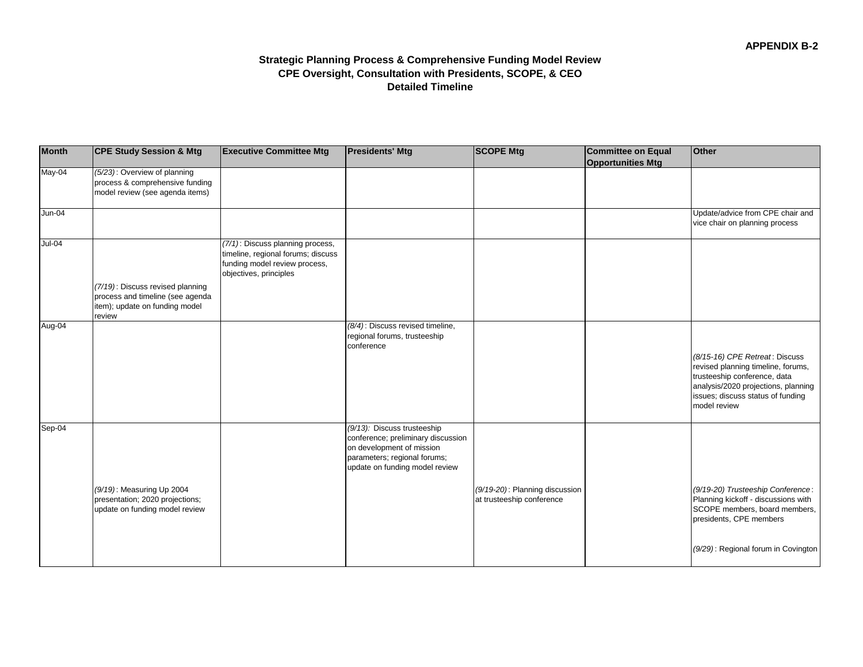# **Strategic Planning Process & Comprehensive Funding Model Review CPE Oversight, Consultation with Presidents, SCOPE, & CEO Detailed Timeline**

| <b>Month</b> | <b>CPE Study Session &amp; Mtg</b>                                                                 | <b>Executive Committee Mtg</b>                                                                                                    | <b>Presidents' Mtg</b>                                                                                                                                           | <b>SCOPE Mtg</b>                                            | <b>Committee on Equal</b><br><b>Opportunities Mtg</b> | <b>Other</b>                                                                                                                         |
|--------------|----------------------------------------------------------------------------------------------------|-----------------------------------------------------------------------------------------------------------------------------------|------------------------------------------------------------------------------------------------------------------------------------------------------------------|-------------------------------------------------------------|-------------------------------------------------------|--------------------------------------------------------------------------------------------------------------------------------------|
| May-04       | (5/23): Overview of planning<br>process & comprehensive funding<br>model review (see agenda items) |                                                                                                                                   |                                                                                                                                                                  |                                                             |                                                       |                                                                                                                                      |
| $Jun-04$     |                                                                                                    |                                                                                                                                   |                                                                                                                                                                  |                                                             |                                                       | Update/advice from CPE chair and<br>vice chair on planning process                                                                   |
| $Jul-04$     | (7/19): Discuss revised planning                                                                   | (7/1): Discuss planning process,<br>timeline, regional forums; discuss<br>funding model review process,<br>objectives, principles |                                                                                                                                                                  |                                                             |                                                       |                                                                                                                                      |
|              | process and timeline (see agenda<br>item); update on funding model<br>review                       |                                                                                                                                   |                                                                                                                                                                  |                                                             |                                                       |                                                                                                                                      |
| Aug-04       |                                                                                                    |                                                                                                                                   | (8/4): Discuss revised timeline,<br>regional forums, trusteeship<br>conference                                                                                   |                                                             |                                                       | (8/15-16) CPE Retreat: Discuss<br>revised planning timeline, forums,                                                                 |
|              |                                                                                                    |                                                                                                                                   |                                                                                                                                                                  |                                                             |                                                       | trusteeship conference, data<br>analysis/2020 projections, planning<br>issues; discuss status of funding<br>model review             |
| Sep-04       |                                                                                                    |                                                                                                                                   | (9/13): Discuss trusteeship<br>conference; preliminary discussion<br>on development of mission<br>parameters; regional forums;<br>update on funding model review |                                                             |                                                       |                                                                                                                                      |
|              | (9/19): Measuring Up 2004<br>presentation; 2020 projections;<br>update on funding model review     |                                                                                                                                   |                                                                                                                                                                  | (9/19-20): Planning discussion<br>at trusteeship conference |                                                       | (9/19-20) Trusteeship Conference:<br>Planning kickoff - discussions with<br>SCOPE members, board members,<br>presidents, CPE members |
|              |                                                                                                    |                                                                                                                                   |                                                                                                                                                                  |                                                             |                                                       | (9/29): Regional forum in Covington                                                                                                  |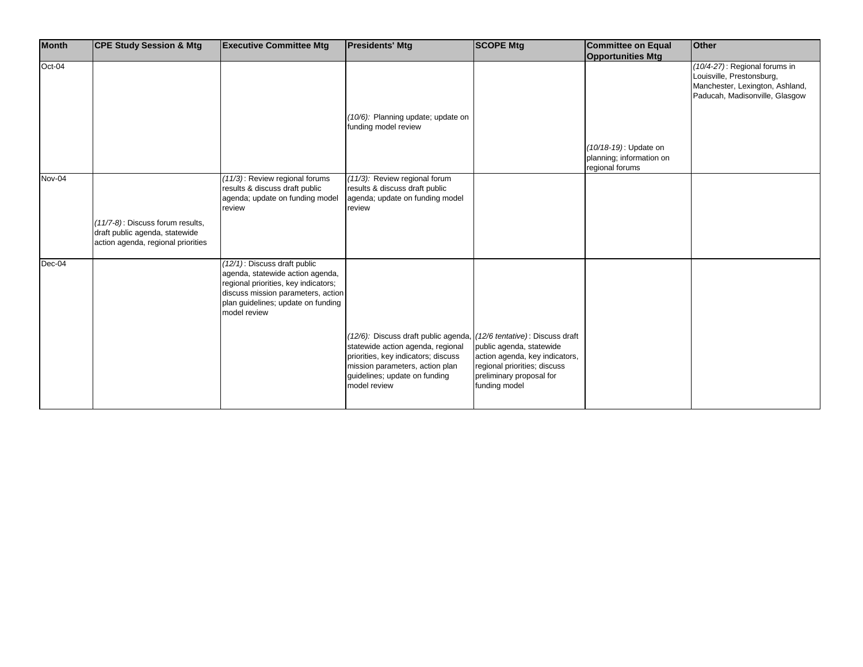| <b>Month</b> | <b>CPE Study Session &amp; Mtg</b>                                                                       | <b>Executive Committee Mtg</b>                                                                                                                                                                       | <b>Presidents' Mtg</b>                                                                                                                                                                                                               | <b>SCOPE Mtg</b>                                                                                                                        | <b>Committee on Equal</b>                                            | <b>Other</b>                                                                                                                    |
|--------------|----------------------------------------------------------------------------------------------------------|------------------------------------------------------------------------------------------------------------------------------------------------------------------------------------------------------|--------------------------------------------------------------------------------------------------------------------------------------------------------------------------------------------------------------------------------------|-----------------------------------------------------------------------------------------------------------------------------------------|----------------------------------------------------------------------|---------------------------------------------------------------------------------------------------------------------------------|
|              |                                                                                                          |                                                                                                                                                                                                      |                                                                                                                                                                                                                                      |                                                                                                                                         | <b>Opportunities Mtg</b>                                             |                                                                                                                                 |
| Oct-04       |                                                                                                          |                                                                                                                                                                                                      |                                                                                                                                                                                                                                      |                                                                                                                                         |                                                                      | (10/4-27): Regional forums in<br>Louisville, Prestonsburg,<br>Manchester, Lexington, Ashland,<br>Paducah, Madisonville, Glasgow |
|              |                                                                                                          |                                                                                                                                                                                                      | (10/6): Planning update; update on<br>funding model review                                                                                                                                                                           |                                                                                                                                         |                                                                      |                                                                                                                                 |
|              |                                                                                                          |                                                                                                                                                                                                      |                                                                                                                                                                                                                                      |                                                                                                                                         | (10/18-19): Update on<br>planning; information on<br>regional forums |                                                                                                                                 |
| Nov-04       |                                                                                                          | (11/3): Review regional forums<br>results & discuss draft public<br>agenda; update on funding model<br>review                                                                                        | (11/3): Review regional forum<br>results & discuss draft public<br>agenda; update on funding model<br>review                                                                                                                         |                                                                                                                                         |                                                                      |                                                                                                                                 |
|              | (11/7-8): Discuss forum results,<br>draft public agenda, statewide<br>action agenda, regional priorities |                                                                                                                                                                                                      |                                                                                                                                                                                                                                      |                                                                                                                                         |                                                                      |                                                                                                                                 |
| Dec-04       |                                                                                                          | (12/1): Discuss draft public<br>agenda, statewide action agenda,<br>regional priorities, key indicators;<br>discuss mission parameters, action<br>plan guidelines; update on funding<br>model review |                                                                                                                                                                                                                                      |                                                                                                                                         |                                                                      |                                                                                                                                 |
|              |                                                                                                          |                                                                                                                                                                                                      | (12/6): Discuss draft public agenda, (12/6 tentative): Discuss draft<br>statewide action agenda, regional<br>priorities, key indicators; discuss<br>mission parameters, action plan<br>guidelines; update on funding<br>model review | public agenda, statewide<br>action agenda, key indicators,<br>regional priorities; discuss<br>preliminary proposal for<br>funding model |                                                                      |                                                                                                                                 |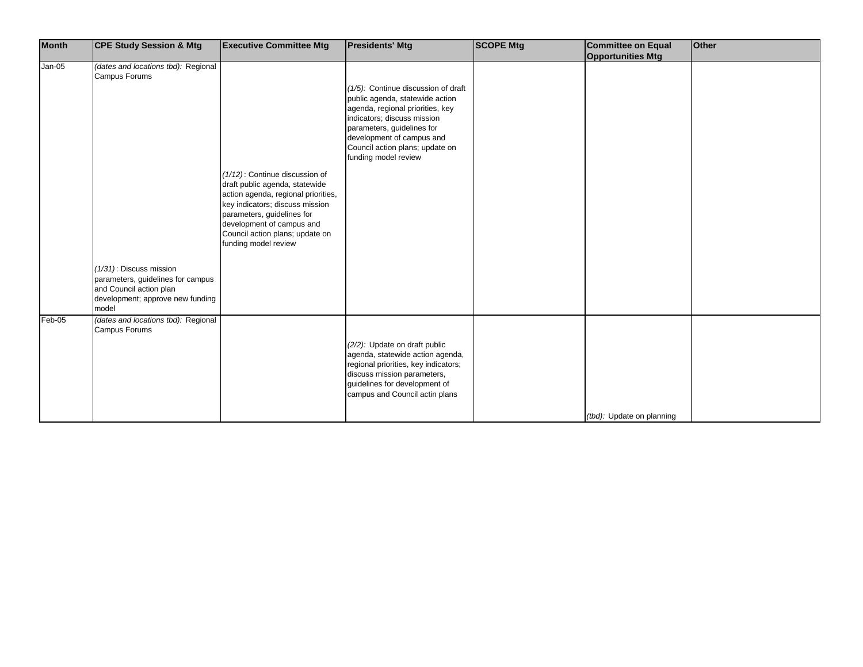| <b>Month</b> | <b>CPE Study Session &amp; Mtg</b>                                                                                                      | <b>Executive Committee Mtg</b>                                                                                                                                                                                                                                   | <b>Presidents' Mtg</b>                                                                                                                                                                                                                                          | <b>SCOPE Mtg</b> | <b>Committee on Equal</b> | <b>Other</b> |
|--------------|-----------------------------------------------------------------------------------------------------------------------------------------|------------------------------------------------------------------------------------------------------------------------------------------------------------------------------------------------------------------------------------------------------------------|-----------------------------------------------------------------------------------------------------------------------------------------------------------------------------------------------------------------------------------------------------------------|------------------|---------------------------|--------------|
|              |                                                                                                                                         |                                                                                                                                                                                                                                                                  |                                                                                                                                                                                                                                                                 |                  | <b>Opportunities Mtg</b>  |              |
| $Jan-05$     | (dates and locations tbd): Regional<br>Campus Forums                                                                                    | (1/12): Continue discussion of<br>draft public agenda, statewide<br>action agenda, regional priorities,<br>key indicators; discuss mission<br>parameters, guidelines for<br>development of campus and<br>Council action plans; update on<br>funding model review | (1/5): Continue discussion of draft<br>public agenda, statewide action<br>agenda, regional priorities, key<br>indicators; discuss mission<br>parameters, guidelines for<br>development of campus and<br>Council action plans; update on<br>funding model review |                  |                           |              |
|              | $(1/31)$ : Discuss mission<br>parameters, guidelines for campus<br>and Council action plan<br>development; approve new funding<br>model |                                                                                                                                                                                                                                                                  |                                                                                                                                                                                                                                                                 |                  |                           |              |
| Feb-05       | (dates and locations tbd): Regional<br>Campus Forums                                                                                    |                                                                                                                                                                                                                                                                  | (2/2): Update on draft public<br>agenda, statewide action agenda,<br>regional priorities, key indicators;<br>discuss mission parameters,<br>guidelines for development of<br>campus and Council actin plans                                                     |                  | (tbd): Update on planning |              |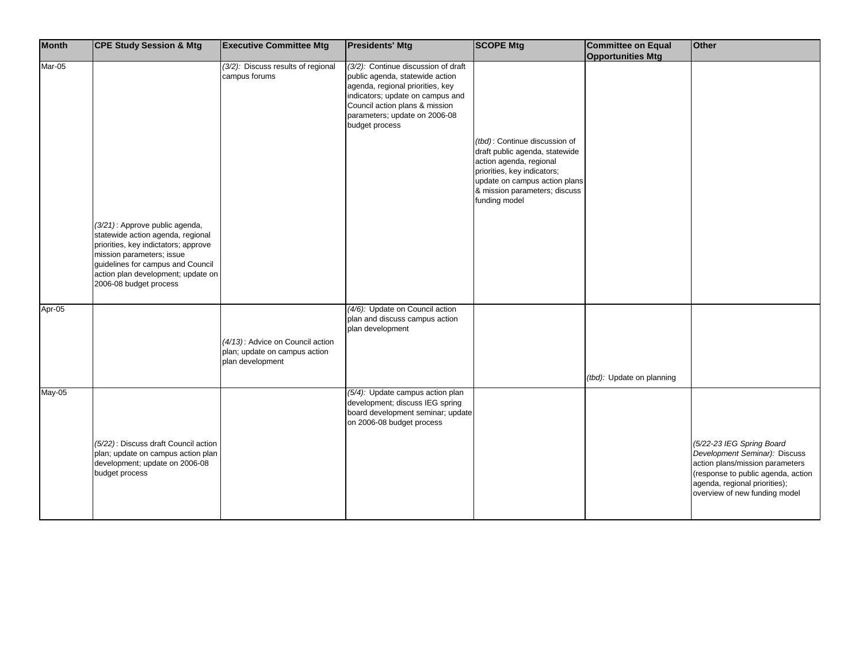| <b>Month</b> | <b>CPE Study Session &amp; Mtg</b>                                                                                                                                                                                                            | <b>Executive Committee Mtg</b>                                                        | <b>Presidents' Mtg</b>                                                                                                                                                                                                              | <b>SCOPE Mtg</b>                                                                                                                                                                                             | <b>Committee on Equal</b><br><b>Opportunities Mtg</b> | Other                                                                                                |
|--------------|-----------------------------------------------------------------------------------------------------------------------------------------------------------------------------------------------------------------------------------------------|---------------------------------------------------------------------------------------|-------------------------------------------------------------------------------------------------------------------------------------------------------------------------------------------------------------------------------------|--------------------------------------------------------------------------------------------------------------------------------------------------------------------------------------------------------------|-------------------------------------------------------|------------------------------------------------------------------------------------------------------|
| Mar-05       |                                                                                                                                                                                                                                               | (3/2): Discuss results of regional<br>campus forums                                   | (3/2): Continue discussion of draft<br>public agenda, statewide action<br>agenda, regional priorities, key<br>indicators; update on campus and<br>Council action plans & mission<br>parameters; update on 2006-08<br>budget process |                                                                                                                                                                                                              |                                                       |                                                                                                      |
|              |                                                                                                                                                                                                                                               |                                                                                       |                                                                                                                                                                                                                                     | (tbd): Continue discussion of<br>draft public agenda, statewide<br>action agenda, regional<br>priorities, key indicators;<br>update on campus action plans<br>& mission parameters; discuss<br>funding model |                                                       |                                                                                                      |
|              | (3/21): Approve public agenda,<br>statewide action agenda, regional<br>priorities, key indictators; approve<br>mission parameters; issue<br>guidelines for campus and Council<br>action plan development; update on<br>2006-08 budget process |                                                                                       |                                                                                                                                                                                                                                     |                                                                                                                                                                                                              |                                                       |                                                                                                      |
| Apr-05       |                                                                                                                                                                                                                                               | (4/13): Advice on Council action<br>plan; update on campus action<br>plan development | (4/6): Update on Council action<br>plan and discuss campus action<br>plan development                                                                                                                                               |                                                                                                                                                                                                              | (tbd): Update on planning                             |                                                                                                      |
| $May-05$     | (5/22): Discuss draft Council action<br>plan; update on campus action plan<br>development; update on 2006-08                                                                                                                                  |                                                                                       | (5/4): Update campus action plan<br>development; discuss IEG spring<br>board development seminar; update<br>on 2006-08 budget process                                                                                               |                                                                                                                                                                                                              |                                                       | (5/22-23 IEG Spring Board<br>Development Seminar): Discuss<br>action plans/mission parameters        |
|              | budget process                                                                                                                                                                                                                                |                                                                                       |                                                                                                                                                                                                                                     |                                                                                                                                                                                                              |                                                       | (response to public agenda, action<br>agenda, regional priorities);<br>overview of new funding model |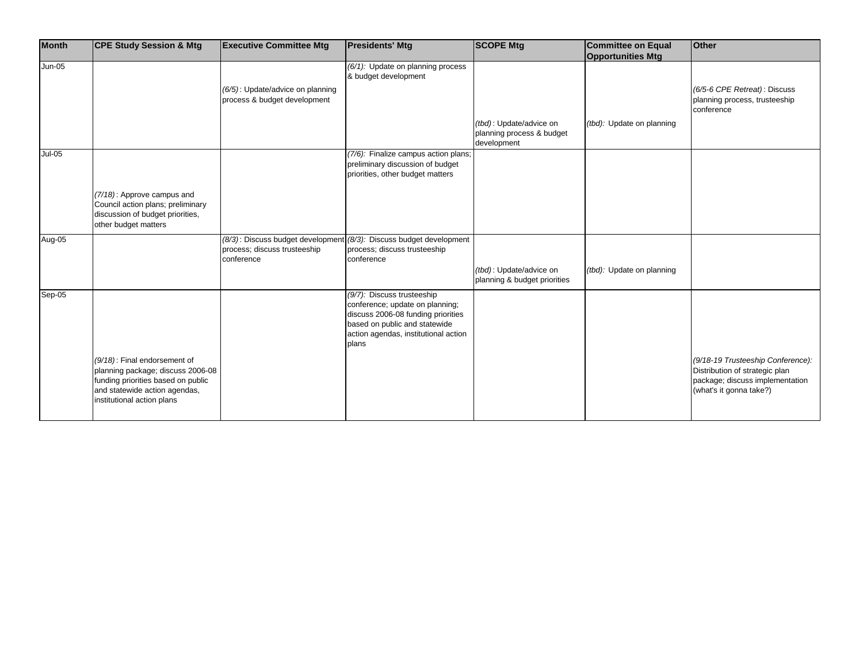| $Jun-05$<br>(6/1): Update on planning process<br>& budget development<br>(6/5): Update/advice on planning<br>(6/5-6 CPE Retreat): Discuss<br>process & budget development<br>planning process, trusteeship<br>conference<br>(tbd): Update/advice on<br>(tbd): Update on planning<br>planning process & budget<br>development<br><b>Jul-05</b><br>(7/6): Finalize campus action plans;<br>preliminary discussion of budget<br>priorities, other budget matters<br>(7/18): Approve campus and<br>Council action plans; preliminary<br>discussion of budget priorities,<br>other budget matters | <b>Month</b> | <b>CPE Study Session &amp; Mtg</b> | <b>Executive Committee Mtg</b>    | <b>Presidents' Mtg</b>            | <b>SCOPE Mtg</b> | <b>Committee on Equal</b> | <b>Other</b> |
|----------------------------------------------------------------------------------------------------------------------------------------------------------------------------------------------------------------------------------------------------------------------------------------------------------------------------------------------------------------------------------------------------------------------------------------------------------------------------------------------------------------------------------------------------------------------------------------------|--------------|------------------------------------|-----------------------------------|-----------------------------------|------------------|---------------------------|--------------|
|                                                                                                                                                                                                                                                                                                                                                                                                                                                                                                                                                                                              |              |                                    |                                   |                                   |                  | <b>Opportunities Mtg</b>  |              |
|                                                                                                                                                                                                                                                                                                                                                                                                                                                                                                                                                                                              |              |                                    |                                   |                                   |                  |                           |              |
|                                                                                                                                                                                                                                                                                                                                                                                                                                                                                                                                                                                              |              |                                    |                                   |                                   |                  |                           |              |
|                                                                                                                                                                                                                                                                                                                                                                                                                                                                                                                                                                                              |              |                                    |                                   |                                   |                  |                           |              |
|                                                                                                                                                                                                                                                                                                                                                                                                                                                                                                                                                                                              |              |                                    |                                   |                                   |                  |                           |              |
|                                                                                                                                                                                                                                                                                                                                                                                                                                                                                                                                                                                              |              |                                    |                                   |                                   |                  |                           |              |
|                                                                                                                                                                                                                                                                                                                                                                                                                                                                                                                                                                                              |              |                                    |                                   |                                   |                  |                           |              |
|                                                                                                                                                                                                                                                                                                                                                                                                                                                                                                                                                                                              |              |                                    |                                   |                                   |                  |                           |              |
|                                                                                                                                                                                                                                                                                                                                                                                                                                                                                                                                                                                              |              |                                    |                                   |                                   |                  |                           |              |
|                                                                                                                                                                                                                                                                                                                                                                                                                                                                                                                                                                                              |              |                                    |                                   |                                   |                  |                           |              |
|                                                                                                                                                                                                                                                                                                                                                                                                                                                                                                                                                                                              |              |                                    |                                   |                                   |                  |                           |              |
|                                                                                                                                                                                                                                                                                                                                                                                                                                                                                                                                                                                              |              |                                    |                                   |                                   |                  |                           |              |
|                                                                                                                                                                                                                                                                                                                                                                                                                                                                                                                                                                                              |              |                                    |                                   |                                   |                  |                           |              |
|                                                                                                                                                                                                                                                                                                                                                                                                                                                                                                                                                                                              |              |                                    |                                   |                                   |                  |                           |              |
|                                                                                                                                                                                                                                                                                                                                                                                                                                                                                                                                                                                              |              |                                    |                                   |                                   |                  |                           |              |
|                                                                                                                                                                                                                                                                                                                                                                                                                                                                                                                                                                                              |              |                                    |                                   |                                   |                  |                           |              |
|                                                                                                                                                                                                                                                                                                                                                                                                                                                                                                                                                                                              |              |                                    |                                   |                                   |                  |                           |              |
|                                                                                                                                                                                                                                                                                                                                                                                                                                                                                                                                                                                              |              |                                    |                                   |                                   |                  |                           |              |
|                                                                                                                                                                                                                                                                                                                                                                                                                                                                                                                                                                                              | Aug-05       |                                    | (8/3): Discuss budget development | (8/3): Discuss budget development |                  |                           |              |
| process; discuss trusteeship<br>process; discuss trusteeship                                                                                                                                                                                                                                                                                                                                                                                                                                                                                                                                 |              |                                    |                                   |                                   |                  |                           |              |
| conference<br>conference                                                                                                                                                                                                                                                                                                                                                                                                                                                                                                                                                                     |              |                                    |                                   |                                   |                  |                           |              |
| (tbd): Update on planning<br>(tbd): Update/advice on                                                                                                                                                                                                                                                                                                                                                                                                                                                                                                                                         |              |                                    |                                   |                                   |                  |                           |              |
| planning & budget priorities                                                                                                                                                                                                                                                                                                                                                                                                                                                                                                                                                                 |              |                                    |                                   |                                   |                  |                           |              |
| Sep-05<br>(9/7): Discuss trusteeship                                                                                                                                                                                                                                                                                                                                                                                                                                                                                                                                                         |              |                                    |                                   |                                   |                  |                           |              |
| conference; update on planning;                                                                                                                                                                                                                                                                                                                                                                                                                                                                                                                                                              |              |                                    |                                   |                                   |                  |                           |              |
| discuss 2006-08 funding priorities                                                                                                                                                                                                                                                                                                                                                                                                                                                                                                                                                           |              |                                    |                                   |                                   |                  |                           |              |
| based on public and statewide                                                                                                                                                                                                                                                                                                                                                                                                                                                                                                                                                                |              |                                    |                                   |                                   |                  |                           |              |
| action agendas, institutional action                                                                                                                                                                                                                                                                                                                                                                                                                                                                                                                                                         |              |                                    |                                   |                                   |                  |                           |              |
| plans                                                                                                                                                                                                                                                                                                                                                                                                                                                                                                                                                                                        |              |                                    |                                   |                                   |                  |                           |              |
|                                                                                                                                                                                                                                                                                                                                                                                                                                                                                                                                                                                              |              |                                    |                                   |                                   |                  |                           |              |
| (9/18-19 Trusteeship Conference):<br>(9/18): Final endorsement of                                                                                                                                                                                                                                                                                                                                                                                                                                                                                                                            |              |                                    |                                   |                                   |                  |                           |              |
| planning package; discuss 2006-08<br>Distribution of strategic plan                                                                                                                                                                                                                                                                                                                                                                                                                                                                                                                          |              |                                    |                                   |                                   |                  |                           |              |
| funding priorities based on public<br>package; discuss implementation                                                                                                                                                                                                                                                                                                                                                                                                                                                                                                                        |              |                                    |                                   |                                   |                  |                           |              |
| and statewide action agendas,<br>(what's it gonna take?)                                                                                                                                                                                                                                                                                                                                                                                                                                                                                                                                     |              |                                    |                                   |                                   |                  |                           |              |
| institutional action plans                                                                                                                                                                                                                                                                                                                                                                                                                                                                                                                                                                   |              |                                    |                                   |                                   |                  |                           |              |
|                                                                                                                                                                                                                                                                                                                                                                                                                                                                                                                                                                                              |              |                                    |                                   |                                   |                  |                           |              |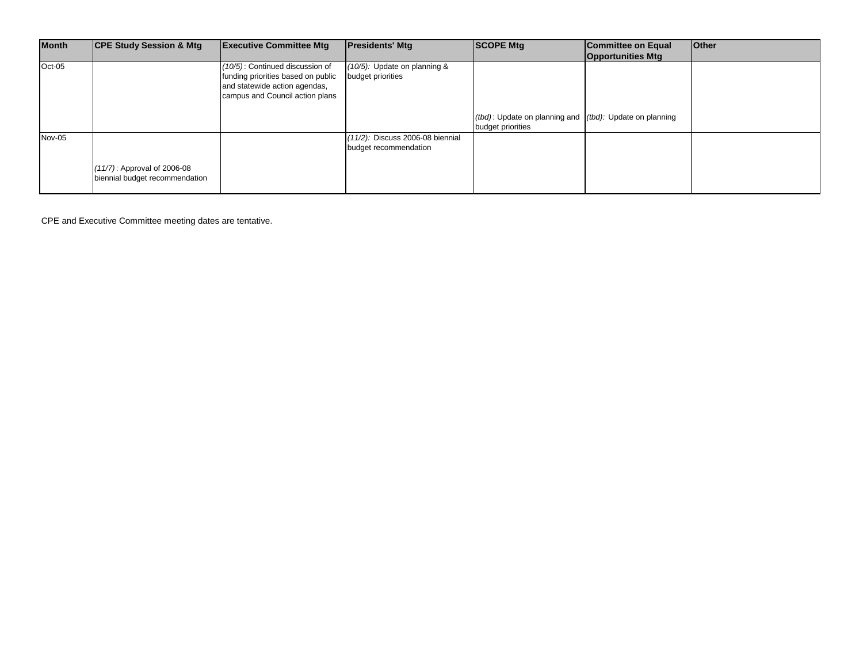| <b>Month</b> | <b>CPE Study Session &amp; Mtg</b> | <b>Executive Committee Mtg</b>     | <b>Presidents' Mtg</b>              | <b>SCOPE Mtg</b>                                              | <b>Committee on Equal</b> | <b>Other</b> |
|--------------|------------------------------------|------------------------------------|-------------------------------------|---------------------------------------------------------------|---------------------------|--------------|
|              |                                    |                                    |                                     |                                                               | <b>Opportunities Mtg</b>  |              |
| Oct-05       |                                    | (10/5): Continued discussion of    | (10/5): Update on planning &        |                                                               |                           |              |
|              |                                    | funding priorities based on public | budget priorities                   |                                                               |                           |              |
|              |                                    | and statewide action agendas,      |                                     |                                                               |                           |              |
|              |                                    | campus and Council action plans    |                                     |                                                               |                           |              |
|              |                                    |                                    |                                     |                                                               |                           |              |
|              |                                    |                                    |                                     | $(tbd)$ : Update on planning and $(tbd)$ : Update on planning |                           |              |
|              |                                    |                                    |                                     | budget priorities                                             |                           |              |
| Nov-05       |                                    |                                    | $(11/2)$ : Discuss 2006-08 biennial |                                                               |                           |              |
|              |                                    |                                    | budget recommendation               |                                                               |                           |              |
|              |                                    |                                    |                                     |                                                               |                           |              |
|              | (11/7): Approval of 2006-08        |                                    |                                     |                                                               |                           |              |
|              | biennial budget recommendation     |                                    |                                     |                                                               |                           |              |
|              |                                    |                                    |                                     |                                                               |                           |              |

CPE and Executive Committee meeting dates are tentative.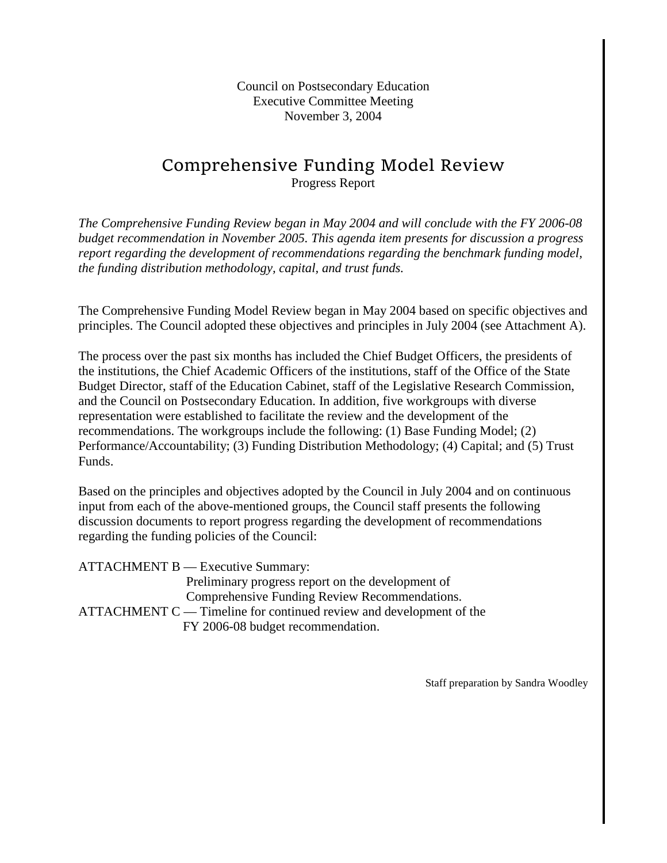Council on Postsecondary Education Executive Committee Meeting November 3, 2004

# Comprehensive Funding Model Review Progress Report

*The Comprehensive Funding Review began in May 2004 and will conclude with the FY 2006-08 budget recommendation in November 2005. This agenda item presents for discussion a progress report regarding the development of recommendations regarding the benchmark funding model, the funding distribution methodology, capital, and trust funds.*

The Comprehensive Funding Model Review began in May 2004 based on specific objectives and principles. The Council adopted these objectives and principles in July 2004 (see Attachment A).

The process over the past six months has included the Chief Budget Officers, the presidents of the institutions, the Chief Academic Officers of the institutions, staff of the Office of the State Budget Director, staff of the Education Cabinet, staff of the Legislative Research Commission, and the Council on Postsecondary Education. In addition, five workgroups with diverse representation were established to facilitate the review and the development of the recommendations. The workgroups include the following: (1) Base Funding Model; (2) Performance/Accountability; (3) Funding Distribution Methodology; (4) Capital; and (5) Trust Funds.

Based on the principles and objectives adopted by the Council in July 2004 and on continuous input from each of the above-mentioned groups, the Council staff presents the following discussion documents to report progress regarding the development of recommendations regarding the funding policies of the Council:

ATTACHMENT B — Executive Summary: Preliminary progress report on the development of Comprehensive Funding Review Recommendations. ATTACHMENT C — Timeline for continued review and development of the FY 2006-08 budget recommendation.

Staff preparation by Sandra Woodley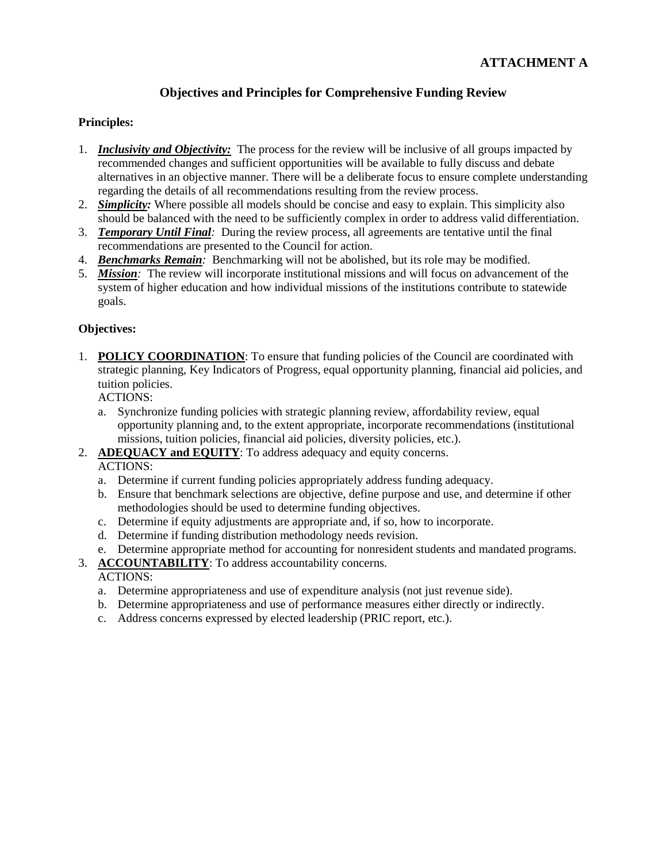#### **Objectives and Principles for Comprehensive Funding Review**

#### **Principles:**

- 1. *Inclusivity and Objectivity:* The process for the review will be inclusive of all groups impacted by recommended changes and sufficient opportunities will be available to fully discuss and debate alternatives in an objective manner. There will be a deliberate focus to ensure complete understanding regarding the details of all recommendations resulting from the review process.
- 2. *Simplicity:* Where possible all models should be concise and easy to explain. This simplicity also should be balanced with the need to be sufficiently complex in order to address valid differentiation.
- 3. *Temporary Until Final:* During the review process, all agreements are tentative until the final recommendations are presented to the Council for action.
- 4. *Benchmarks Remain:* Benchmarking will not be abolished, but its role may be modified.
- 5. *Mission:* The review will incorporate institutional missions and will focus on advancement of the system of higher education and how individual missions of the institutions contribute to statewide goals.

#### **Objectives:**

1. **POLICY COORDINATION**: To ensure that funding policies of the Council are coordinated with strategic planning, Key Indicators of Progress, equal opportunity planning, financial aid policies, and tuition policies.

ACTIONS:

- a. Synchronize funding policies with strategic planning review, affordability review, equal opportunity planning and, to the extent appropriate, incorporate recommendations (institutional missions, tuition policies, financial aid policies, diversity policies, etc.).
- 2. **ADEQUACY and EQUITY**: To address adequacy and equity concerns.

ACTIONS:

- a. Determine if current funding policies appropriately address funding adequacy.
- b. Ensure that benchmark selections are objective, define purpose and use, and determine if other methodologies should be used to determine funding objectives.
- c. Determine if equity adjustments are appropriate and, if so, how to incorporate.
- d. Determine if funding distribution methodology needs revision.
- e. Determine appropriate method for accounting for nonresident students and mandated programs.
- 3. **ACCOUNTABILITY**: To address accountability concerns.

#### ACTIONS:

- a. Determine appropriateness and use of expenditure analysis (not just revenue side).
- b. Determine appropriateness and use of performance measures either directly or indirectly.
- c. Address concerns expressed by elected leadership (PRIC report, etc.).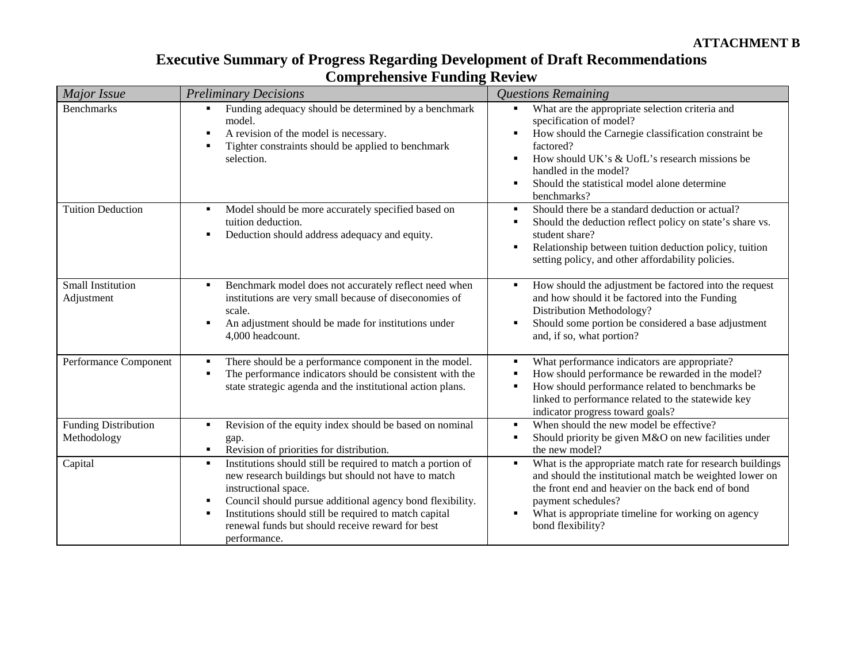| <b>Executive Summary of Progress Regarding Development of Draft Recommendations</b> |
|-------------------------------------------------------------------------------------|
| <b>Comprehensive Funding Review</b>                                                 |

| Major Issue                                | <b>Preliminary Decisions</b>                                                                                                                                                                                                                                                                                                                                                                | <b>Questions Remaining</b>                                                                                                                                                                                                                                                               |
|--------------------------------------------|---------------------------------------------------------------------------------------------------------------------------------------------------------------------------------------------------------------------------------------------------------------------------------------------------------------------------------------------------------------------------------------------|------------------------------------------------------------------------------------------------------------------------------------------------------------------------------------------------------------------------------------------------------------------------------------------|
| <b>Benchmarks</b>                          | Funding adequacy should be determined by a benchmark<br>٠<br>model.<br>A revision of the model is necessary.<br>٠<br>Tighter constraints should be applied to benchmark<br>п<br>selection.                                                                                                                                                                                                  | What are the appropriate selection criteria and<br>specification of model?<br>How should the Carnegie classification constraint be<br>factored?<br>How should UK's & UofL's research missions be<br>handled in the model?<br>Should the statistical model alone determine<br>benchmarks? |
| <b>Tuition Deduction</b>                   | Model should be more accurately specified based on<br>٠<br>tuition deduction.<br>Deduction should address adequacy and equity.<br>٠                                                                                                                                                                                                                                                         | Should there be a standard deduction or actual?<br>п<br>Should the deduction reflect policy on state's share vs.<br>student share?<br>Relationship between tuition deduction policy, tuition<br>п<br>setting policy, and other affordability policies.                                   |
| Small Institution<br>Adjustment            | Benchmark model does not accurately reflect need when<br>$\blacksquare$<br>institutions are very small because of diseconomies of<br>scale.<br>An adjustment should be made for institutions under<br>$\blacksquare$<br>4,000 headcount.                                                                                                                                                    | How should the adjustment be factored into the request<br>and how should it be factored into the Funding<br>Distribution Methodology?<br>Should some portion be considered a base adjustment<br>п<br>and, if so, what portion?                                                           |
| Performance Component                      | There should be a performance component in the model.<br>п<br>The performance indicators should be consistent with the<br>$\blacksquare$<br>state strategic agenda and the institutional action plans.                                                                                                                                                                                      | What performance indicators are appropriate?<br>How should performance be rewarded in the model?<br>How should performance related to benchmarks be<br>linked to performance related to the statewide key<br>indicator progress toward goals?                                            |
| <b>Funding Distribution</b><br>Methodology | Revision of the equity index should be based on nominal<br>٠<br>gap.<br>Revision of priorities for distribution.<br>$\blacksquare$                                                                                                                                                                                                                                                          | When should the new model be effective?<br>$\blacksquare$<br>Should priority be given M&O on new facilities under<br>the new model?                                                                                                                                                      |
| Capital                                    | Institutions should still be required to match a portion of<br>$\blacksquare$<br>new research buildings but should not have to match<br>instructional space.<br>Council should pursue additional agency bond flexibility.<br>$\blacksquare$<br>Institutions should still be required to match capital<br>$\blacksquare$<br>renewal funds but should receive reward for best<br>performance. | What is the appropriate match rate for research buildings<br>٠<br>and should the institutional match be weighted lower on<br>the front end and heavier on the back end of bond<br>payment schedules?<br>What is appropriate timeline for working on agency<br>٠<br>bond flexibility?     |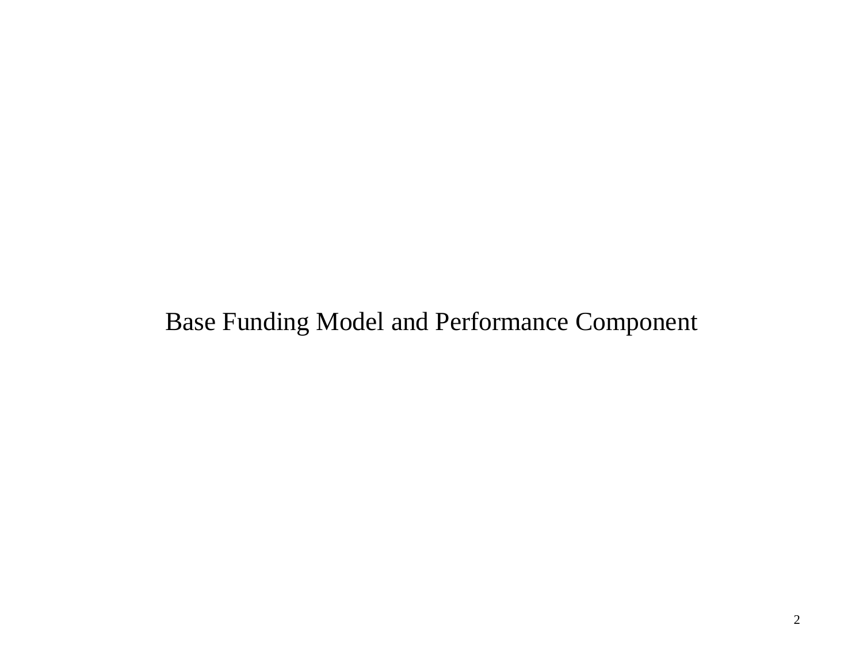# Base Funding Model and Performance Component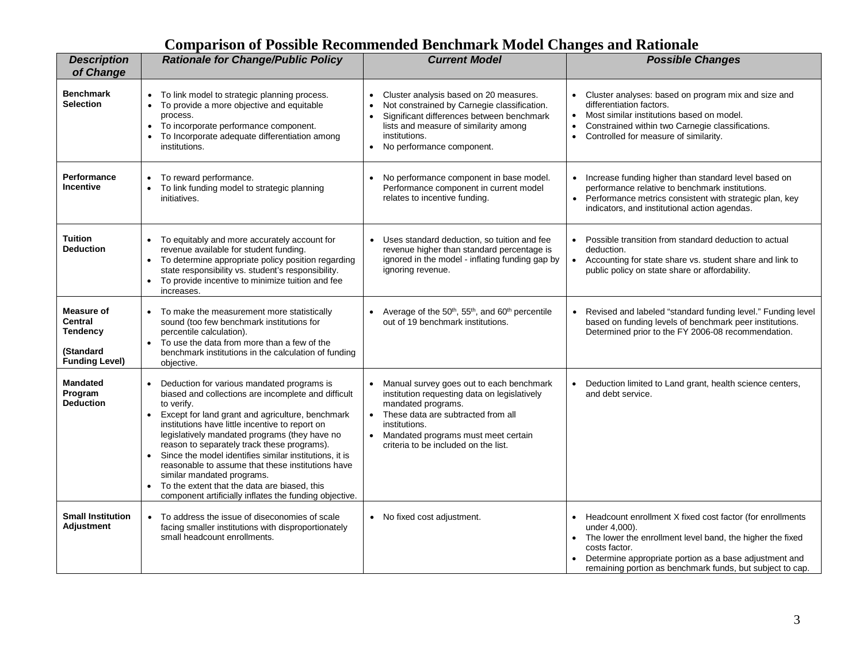# **Comparison of Possible Recommended Benchmark Model Changes and Rationale**

| <b>Description</b><br>of Change                                                              | <b>Rationale for Change/Public Policy</b>                                                                                                                                                                                                                                                                                                                                                                                                                                                                                                                                                  | <b>Current Model</b>                                                                                                                                                                                                                                              | <b>Possible Changes</b>                                                                                                                                                                                                                                                                      |
|----------------------------------------------------------------------------------------------|--------------------------------------------------------------------------------------------------------------------------------------------------------------------------------------------------------------------------------------------------------------------------------------------------------------------------------------------------------------------------------------------------------------------------------------------------------------------------------------------------------------------------------------------------------------------------------------------|-------------------------------------------------------------------------------------------------------------------------------------------------------------------------------------------------------------------------------------------------------------------|----------------------------------------------------------------------------------------------------------------------------------------------------------------------------------------------------------------------------------------------------------------------------------------------|
| <b>Benchmark</b><br><b>Selection</b>                                                         | • To link model to strategic planning process.<br>To provide a more objective and equitable<br>process.<br>To incorporate performance component.<br>$\bullet$<br>To Incorporate adequate differentiation among<br>institutions.                                                                                                                                                                                                                                                                                                                                                            | Cluster analysis based on 20 measures.<br>$\bullet$<br>Not constrained by Carnegie classification.<br>Significant differences between benchmark<br>$\bullet$<br>lists and measure of similarity among<br>institutions.<br>No performance component.<br>$\bullet$  | Cluster analyses: based on program mix and size and<br>$\bullet$<br>differentiation factors.<br>Most similar institutions based on model.<br>$\bullet$<br>Constrained within two Carnegie classifications.<br>$\bullet$<br>Controlled for measure of similarity.<br>$\bullet$                |
| Performance<br>Incentive                                                                     | To reward performance.<br>To link funding model to strategic planning<br>initiatives.                                                                                                                                                                                                                                                                                                                                                                                                                                                                                                      | No performance component in base model.<br>Performance component in current model<br>relates to incentive funding.                                                                                                                                                | Increase funding higher than standard level based on<br>performance relative to benchmark institutions.<br>Performance metrics consistent with strategic plan, key<br>$\bullet$<br>indicators, and institutional action agendas.                                                             |
| <b>Tuition</b><br><b>Deduction</b>                                                           | To equitably and more accurately account for<br>revenue available for student funding.<br>To determine appropriate policy position regarding<br>state responsibility vs. student's responsibility.<br>To provide incentive to minimize tuition and fee<br>$\bullet$<br>increases.                                                                                                                                                                                                                                                                                                          | Uses standard deduction, so tuition and fee<br>revenue higher than standard percentage is<br>ignored in the model - inflating funding gap by<br>ignoring revenue.                                                                                                 | Possible transition from standard deduction to actual<br>$\bullet$<br>deduction.<br>Accounting for state share vs. student share and link to<br>$\bullet$<br>public policy on state share or affordability.                                                                                  |
| <b>Measure of</b><br><b>Central</b><br><b>Tendency</b><br>(Standard<br><b>Funding Level)</b> | To make the measurement more statistically<br>sound (too few benchmark institutions for<br>percentile calculation).<br>To use the data from more than a few of the<br>benchmark institutions in the calculation of funding<br>objective.                                                                                                                                                                                                                                                                                                                                                   | Average of the 50 <sup>th</sup> , 55 <sup>th</sup> , and 60 <sup>th</sup> percentile<br>out of 19 benchmark institutions.                                                                                                                                         | Revised and labeled "standard funding level." Funding level<br>$\bullet$<br>based on funding levels of benchmark peer institutions.<br>Determined prior to the FY 2006-08 recommendation.                                                                                                    |
| <b>Mandated</b><br>Program<br><b>Deduction</b>                                               | Deduction for various mandated programs is<br>biased and collections are incomplete and difficult<br>to verify.<br>Except for land grant and agriculture, benchmark<br>$\bullet$<br>institutions have little incentive to report on<br>legislatively mandated programs (they have no<br>reason to separately track these programs).<br>Since the model identifies similar institutions, it is<br>reasonable to assume that these institutions have<br>similar mandated programs.<br>To the extent that the data are biased, this<br>component artificially inflates the funding objective. | Manual survey goes out to each benchmark<br>institution requesting data on legislatively<br>mandated programs.<br>These data are subtracted from all<br>$\bullet$<br>institutions.<br>Mandated programs must meet certain<br>criteria to be included on the list. | Deduction limited to Land grant, health science centers,<br>٠<br>and debt service.                                                                                                                                                                                                           |
| <b>Small Institution</b><br><b>Adjustment</b>                                                | • To address the issue of diseconomies of scale<br>facing smaller institutions with disproportionately<br>small headcount enrollments.                                                                                                                                                                                                                                                                                                                                                                                                                                                     | • No fixed cost adjustment.                                                                                                                                                                                                                                       | Headcount enrollment X fixed cost factor (for enrollments<br>$\bullet$<br>under 4,000).<br>The lower the enrollment level band, the higher the fixed<br>costs factor.<br>Determine appropriate portion as a base adjustment and<br>remaining portion as benchmark funds, but subject to cap. |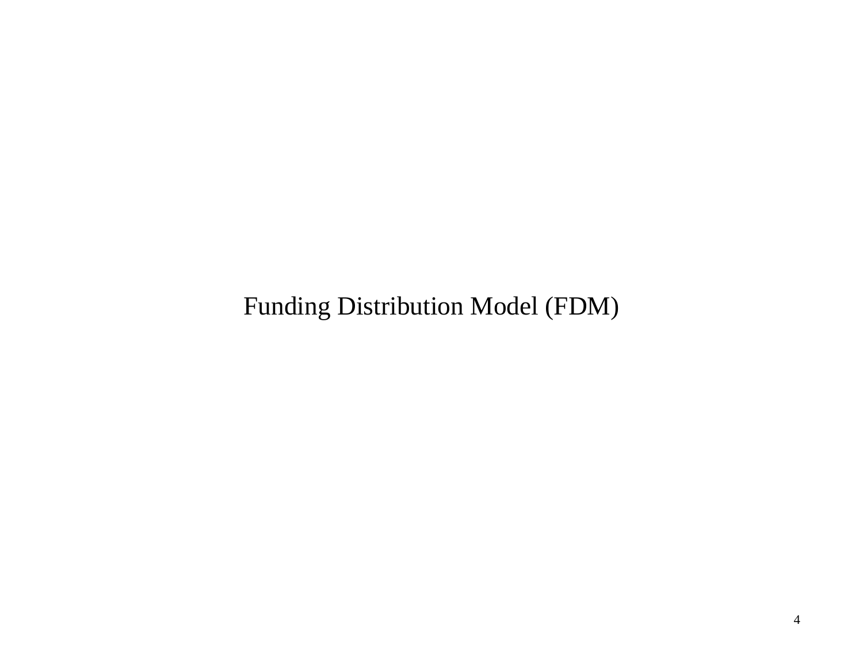Funding Distribution Model (FDM)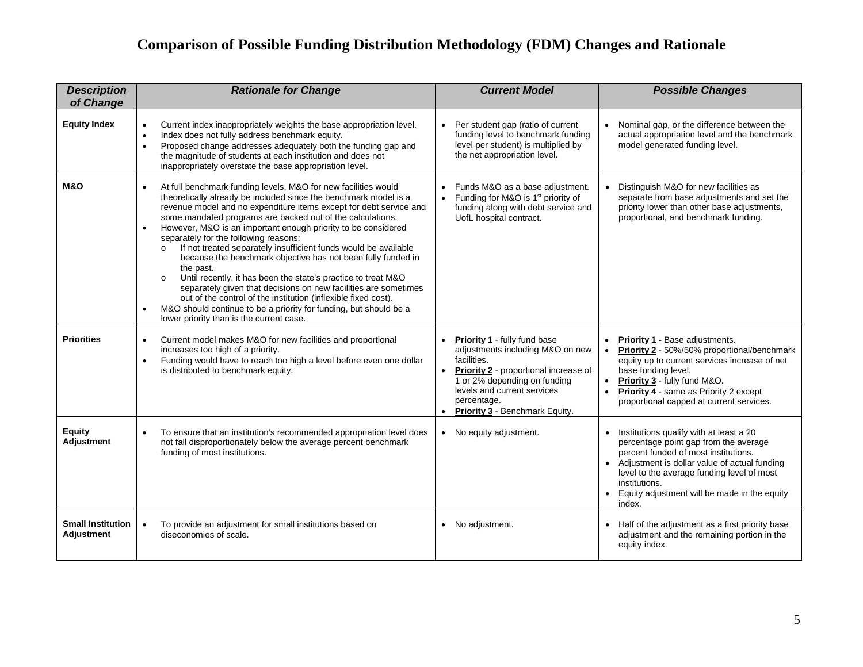# **Comparison of Possible Funding Distribution Methodology (FDM) Changes and Rationale**

| <b>Description</b><br>of Change        | <b>Rationale for Change</b>                                                                                                                                                                                                                                                                                                                                                                                                                                                                                                                                                                                                                                                                                                                                                                                                                                                     | <b>Current Model</b>                                                                                                                                                                                                                              | <b>Possible Changes</b>                                                                                                                                                                                                                                                                                          |
|----------------------------------------|---------------------------------------------------------------------------------------------------------------------------------------------------------------------------------------------------------------------------------------------------------------------------------------------------------------------------------------------------------------------------------------------------------------------------------------------------------------------------------------------------------------------------------------------------------------------------------------------------------------------------------------------------------------------------------------------------------------------------------------------------------------------------------------------------------------------------------------------------------------------------------|---------------------------------------------------------------------------------------------------------------------------------------------------------------------------------------------------------------------------------------------------|------------------------------------------------------------------------------------------------------------------------------------------------------------------------------------------------------------------------------------------------------------------------------------------------------------------|
| <b>Equity Index</b>                    | Current index inappropriately weights the base appropriation level.<br>Index does not fully address benchmark equity.<br>Proposed change addresses adequately both the funding gap and<br>$\bullet$<br>the magnitude of students at each institution and does not<br>inappropriately overstate the base appropriation level.                                                                                                                                                                                                                                                                                                                                                                                                                                                                                                                                                    | Per student gap (ratio of current<br>funding level to benchmark funding<br>level per student) is multiplied by<br>the net appropriation level.                                                                                                    | Nominal gap, or the difference between the<br>actual appropriation level and the benchmark<br>model generated funding level.                                                                                                                                                                                     |
| <b>M&amp;O</b>                         | At full benchmark funding levels, M&O for new facilities would<br>theoretically already be included since the benchmark model is a<br>revenue model and no expenditure items except for debt service and<br>some mandated programs are backed out of the calculations.<br>However, M&O is an important enough priority to be considered<br>$\bullet$<br>separately for the following reasons:<br>If not treated separately insufficient funds would be available<br>because the benchmark objective has not been fully funded in<br>the past.<br>Until recently, it has been the state's practice to treat M&O<br>$\circ$<br>separately given that decisions on new facilities are sometimes<br>out of the control of the institution (inflexible fixed cost).<br>M&O should continue to be a priority for funding, but should be a<br>lower priority than is the current case. | Funds M&O as a base adjustment.<br>Funding for M&O is 1 <sup>st</sup> priority of<br>$\bullet$<br>funding along with debt service and<br>UofL hospital contract.                                                                                  | Distinguish M&O for new facilities as<br>separate from base adjustments and set the<br>priority lower than other base adjustments,<br>proportional, and benchmark funding.                                                                                                                                       |
| <b>Priorities</b>                      | Current model makes M&O for new facilities and proportional<br>increases too high of a priority.<br>Funding would have to reach too high a level before even one dollar<br>$\bullet$<br>is distributed to benchmark equity.                                                                                                                                                                                                                                                                                                                                                                                                                                                                                                                                                                                                                                                     | <b>Priority 1 - fully fund base</b><br>adjustments including M&O on new<br>facilities.<br>Priority 2 - proportional increase of<br>1 or 2% depending on funding<br>levels and current services<br>percentage.<br>• Priority 3 - Benchmark Equity. | Priority 1 - Base adjustments.<br>$\bullet$<br>Priority 2 - 50%/50% proportional/benchmark<br>equity up to current services increase of net<br>base funding level.<br>Priority 3 - fully fund M&O.<br><b>Priority 4 - same as Priority 2 except</b><br>$\bullet$<br>proportional capped at current services.     |
| Equity<br>Adjustment                   | To ensure that an institution's recommended appropriation level does<br>not fall disproportionately below the average percent benchmark<br>funding of most institutions.                                                                                                                                                                                                                                                                                                                                                                                                                                                                                                                                                                                                                                                                                                        | • No equity adjustment.                                                                                                                                                                                                                           | Institutions qualify with at least a 20<br>$\bullet$<br>percentage point gap from the average<br>percent funded of most institutions.<br>• Adjustment is dollar value of actual funding<br>level to the average funding level of most<br>institutions.<br>Equity adjustment will be made in the equity<br>index. |
| <b>Small Institution</b><br>Adjustment | To provide an adjustment for small institutions based on<br>$\bullet$<br>diseconomies of scale.                                                                                                                                                                                                                                                                                                                                                                                                                                                                                                                                                                                                                                                                                                                                                                                 | • No adjustment.                                                                                                                                                                                                                                  | Half of the adjustment as a first priority base<br>adjustment and the remaining portion in the<br>equity index.                                                                                                                                                                                                  |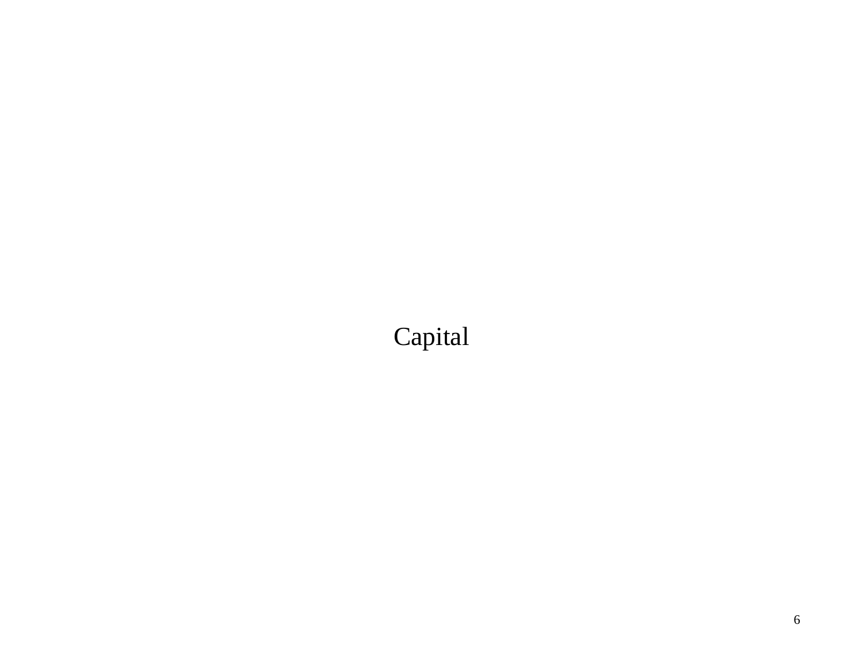# Capital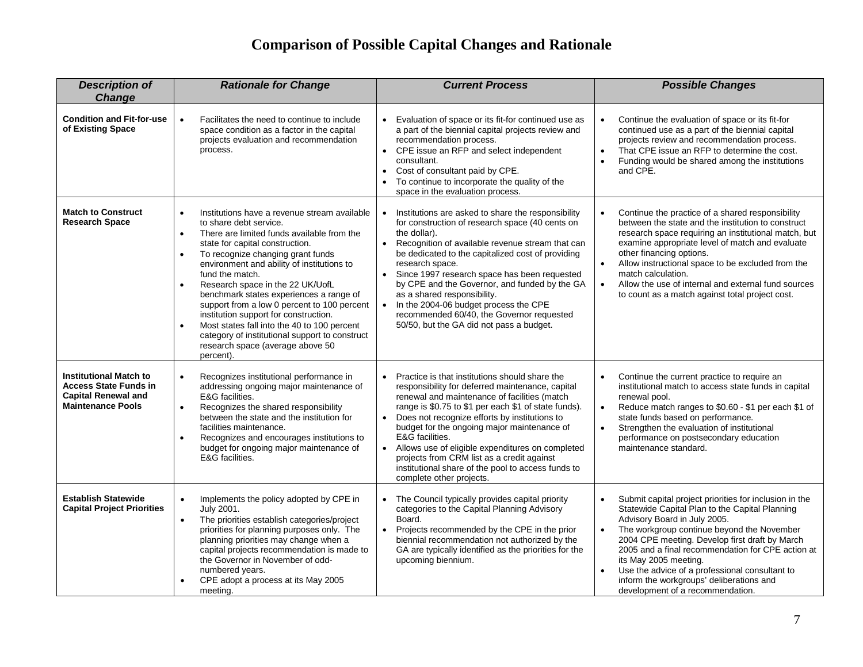# **Comparison of Possible Capital Changes and Rationale**

| <b>Description of</b><br><b>Change</b>                                                                                  | <b>Rationale for Change</b>                                                                                                                                                                                                                                                                                                                                                                                                                                                                                                                                                                                                                             | <b>Current Process</b>                                                                                                                                                                                                                                                                                                                                                                                                                                                                                                                                       | <b>Possible Changes</b>                                                                                                                                                                                                                                                                                                                                                                                                                                               |
|-------------------------------------------------------------------------------------------------------------------------|---------------------------------------------------------------------------------------------------------------------------------------------------------------------------------------------------------------------------------------------------------------------------------------------------------------------------------------------------------------------------------------------------------------------------------------------------------------------------------------------------------------------------------------------------------------------------------------------------------------------------------------------------------|--------------------------------------------------------------------------------------------------------------------------------------------------------------------------------------------------------------------------------------------------------------------------------------------------------------------------------------------------------------------------------------------------------------------------------------------------------------------------------------------------------------------------------------------------------------|-----------------------------------------------------------------------------------------------------------------------------------------------------------------------------------------------------------------------------------------------------------------------------------------------------------------------------------------------------------------------------------------------------------------------------------------------------------------------|
| <b>Condition and Fit-for-use</b><br>of Existing Space                                                                   | $\bullet$<br>Facilitates the need to continue to include<br>space condition as a factor in the capital<br>projects evaluation and recommendation<br>process.                                                                                                                                                                                                                                                                                                                                                                                                                                                                                            | Evaluation of space or its fit-for continued use as<br>a part of the biennial capital projects review and<br>recommendation process.<br>• CPE issue an RFP and select independent<br>consultant.<br>• Cost of consultant paid by CPE.<br>• To continue to incorporate the quality of the<br>space in the evaluation process.                                                                                                                                                                                                                                 | Continue the evaluation of space or its fit-for<br>$\bullet$<br>continued use as a part of the biennial capital<br>projects review and recommendation process.<br>That CPE issue an RFP to determine the cost.<br>$\bullet$<br>Funding would be shared among the institutions<br>and CPE.                                                                                                                                                                             |
| <b>Match to Construct</b><br><b>Research Space</b>                                                                      | Institutions have a revenue stream available<br>$\bullet$<br>to share debt service.<br>There are limited funds available from the<br>$\bullet$<br>state for capital construction.<br>To recognize changing grant funds<br>$\bullet$<br>environment and ability of institutions to<br>fund the match.<br>Research space in the 22 UK/UofL<br>$\bullet$<br>benchmark states experiences a range of<br>support from a low 0 percent to 100 percent<br>institution support for construction.<br>Most states fall into the 40 to 100 percent<br>$\bullet$<br>category of institutional support to construct<br>research space (average above 50<br>percent). | $\bullet$<br>Institutions are asked to share the responsibility<br>for construction of research space (40 cents on<br>the dollar).<br>Recognition of available revenue stream that can<br>$\bullet$<br>be dedicated to the capitalized cost of providing<br>research space.<br>• Since 1997 research space has been requested<br>by CPE and the Governor, and funded by the GA<br>as a shared responsibility.<br>In the 2004-06 budget process the CPE<br>$\bullet$<br>recommended 60/40, the Governor requested<br>50/50, but the GA did not pass a budget. | Continue the practice of a shared responsibility<br>between the state and the institution to construct<br>research space requiring an institutional match, but<br>examine appropriate level of match and evaluate<br>other financing options.<br>Allow instructional space to be excluded from the<br>match calculation.<br>Allow the use of internal and external fund sources<br>$\bullet$<br>to count as a match against total project cost.                       |
| <b>Institutional Match to</b><br><b>Access State Funds in</b><br><b>Capital Renewal and</b><br><b>Maintenance Pools</b> | Recognizes institutional performance in<br>$\bullet$<br>addressing ongoing major maintenance of<br>E&G facilities.<br>Recognizes the shared responsibility<br>$\bullet$<br>between the state and the institution for<br>facilities maintenance.<br>Recognizes and encourages institutions to<br>budget for ongoing major maintenance of<br>E&G facilities.                                                                                                                                                                                                                                                                                              | Practice is that institutions should share the<br>$\bullet$<br>responsibility for deferred maintenance, capital<br>renewal and maintenance of facilities (match<br>range is \$0.75 to \$1 per each \$1 of state funds).<br>Does not recognize efforts by institutions to<br>budget for the ongoing major maintenance of<br>E&G facilities.<br>• Allows use of eligible expenditures on completed<br>projects from CRM list as a credit against<br>institutional share of the pool to access funds to<br>complete other projects.                             | Continue the current practice to require an<br>$\bullet$<br>institutional match to access state funds in capital<br>renewal pool.<br>Reduce match ranges to \$0.60 - \$1 per each \$1 of<br>$\bullet$<br>state funds based on performance.<br>Strengthen the evaluation of institutional<br>performance on postsecondary education<br>maintenance standard.                                                                                                           |
| <b>Establish Statewide</b><br><b>Capital Project Priorities</b>                                                         | Implements the policy adopted by CPE in<br>$\bullet$<br>July 2001.<br>The priorities establish categories/project<br>$\bullet$<br>priorities for planning purposes only. The<br>planning priorities may change when a<br>capital projects recommendation is made to<br>the Governor in November of odd-<br>numbered years.<br>CPE adopt a process at its May 2005<br>meeting.                                                                                                                                                                                                                                                                           | The Council typically provides capital priority<br>categories to the Capital Planning Advisory<br>Board.<br>Projects recommended by the CPE in the prior<br>$\bullet$<br>biennial recommendation not authorized by the<br>GA are typically identified as the priorities for the<br>upcoming biennium.                                                                                                                                                                                                                                                        | Submit capital project priorities for inclusion in the<br>Statewide Capital Plan to the Capital Planning<br>Advisory Board in July 2005.<br>The workgroup continue beyond the November<br>$\bullet$<br>2004 CPE meeting. Develop first draft by March<br>2005 and a final recommendation for CPE action at<br>its May 2005 meeting.<br>Use the advice of a professional consultant to<br>inform the workgroups' deliberations and<br>development of a recommendation. |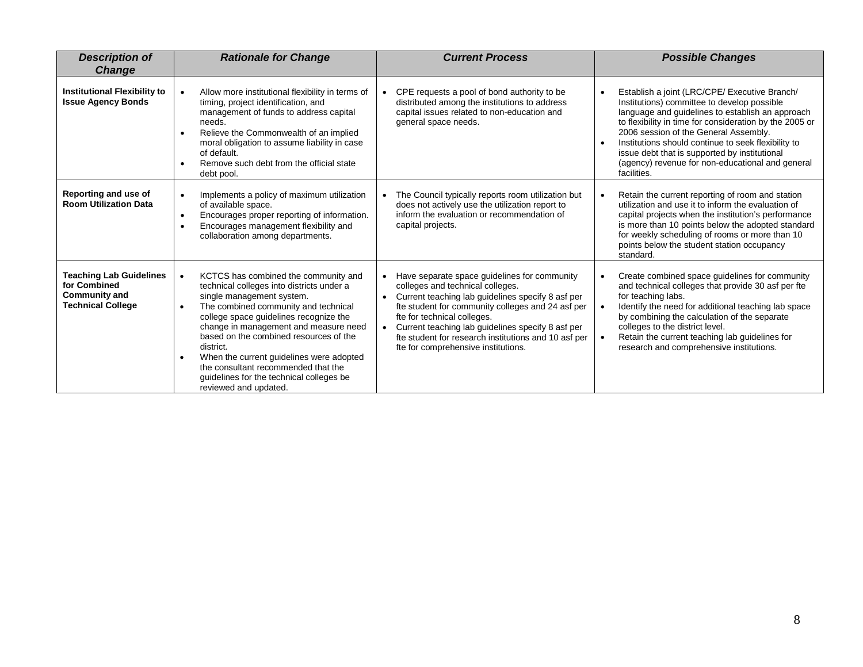| <b>Description of</b><br><b>Change</b>                                                             | <b>Rationale for Change</b>                                                                                                                                                                                                                                                                                                                                                                                                                                                                     | <b>Current Process</b>                                                                                                                                                                                                                                                                                                                                                        | <b>Possible Changes</b>                                                                                                                                                                                                                                                                                                                                                                                                         |
|----------------------------------------------------------------------------------------------------|-------------------------------------------------------------------------------------------------------------------------------------------------------------------------------------------------------------------------------------------------------------------------------------------------------------------------------------------------------------------------------------------------------------------------------------------------------------------------------------------------|-------------------------------------------------------------------------------------------------------------------------------------------------------------------------------------------------------------------------------------------------------------------------------------------------------------------------------------------------------------------------------|---------------------------------------------------------------------------------------------------------------------------------------------------------------------------------------------------------------------------------------------------------------------------------------------------------------------------------------------------------------------------------------------------------------------------------|
| <b>Institutional Flexibility to</b><br><b>Issue Agency Bonds</b>                                   | Allow more institutional flexibility in terms of<br>$\bullet$<br>timing, project identification, and<br>management of funds to address capital<br>needs.<br>Relieve the Commonwealth of an implied<br>moral obligation to assume liability in case<br>of default.<br>Remove such debt from the official state<br>$\bullet$<br>debt pool.                                                                                                                                                        | CPE requests a pool of bond authority to be<br>distributed among the institutions to address<br>capital issues related to non-education and<br>general space needs.                                                                                                                                                                                                           | Establish a joint (LRC/CPE/ Executive Branch/<br>Institutions) committee to develop possible<br>language and guidelines to establish an approach<br>to flexibility in time for consideration by the 2005 or<br>2006 session of the General Assembly.<br>Institutions should continue to seek flexibility to<br>issue debt that is supported by institutional<br>(agency) revenue for non-educational and general<br>facilities. |
| Reporting and use of<br><b>Room Utilization Data</b>                                               | Implements a policy of maximum utilization<br>$\bullet$<br>of available space.<br>Encourages proper reporting of information.<br>$\bullet$<br>Encourages management flexibility and<br>collaboration among departments.                                                                                                                                                                                                                                                                         | The Council typically reports room utilization but<br>does not actively use the utilization report to<br>inform the evaluation or recommendation of<br>capital projects.                                                                                                                                                                                                      | Retain the current reporting of room and station<br>utilization and use it to inform the evaluation of<br>capital projects when the institution's performance<br>is more than 10 points below the adopted standard<br>for weekly scheduling of rooms or more than 10<br>points below the student station occupancy<br>standard.                                                                                                 |
| <b>Teaching Lab Guidelines</b><br>for Combined<br><b>Community and</b><br><b>Technical College</b> | KCTCS has combined the community and<br>$\bullet$<br>technical colleges into districts under a<br>single management system.<br>The combined community and technical<br>$\bullet$<br>college space guidelines recognize the<br>change in management and measure need<br>based on the combined resources of the<br>district.<br>When the current guidelines were adopted<br>$\bullet$<br>the consultant recommended that the<br>guidelines for the technical colleges be<br>reviewed and updated. | Have separate space guidelines for community<br>colleges and technical colleges.<br>Current teaching lab guidelines specify 8 asf per<br>fte student for community colleges and 24 asf per<br>fte for technical colleges.<br>Current teaching lab guidelines specify 8 asf per<br>fte student for research institutions and 10 asf per<br>fte for comprehensive institutions. | Create combined space guidelines for community<br>and technical colleges that provide 30 asf per fte<br>for teaching labs.<br>Identify the need for additional teaching lab space<br>by combining the calculation of the separate<br>colleges to the district level.<br>Retain the current teaching lab guidelines for<br>research and comprehensive institutions.                                                              |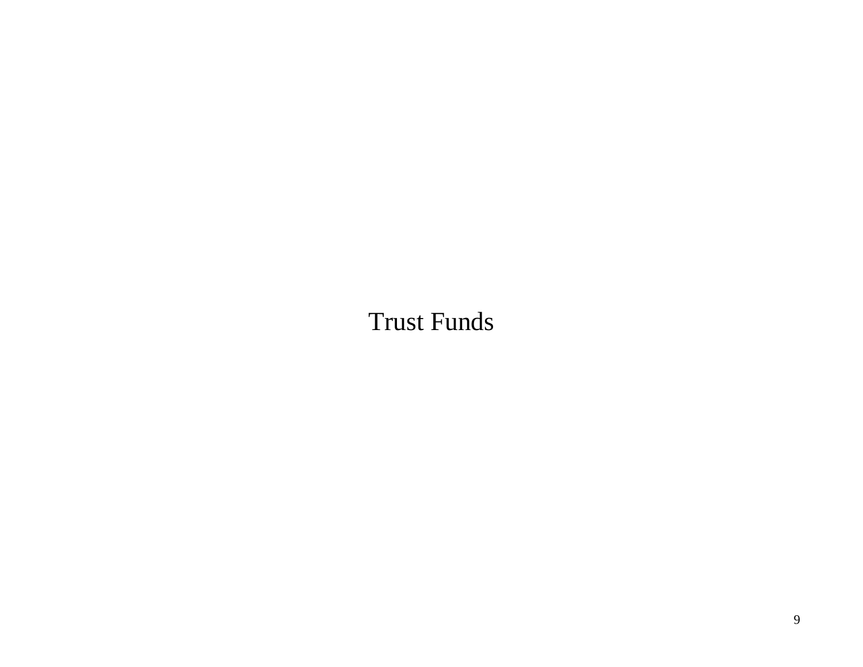# Trust Funds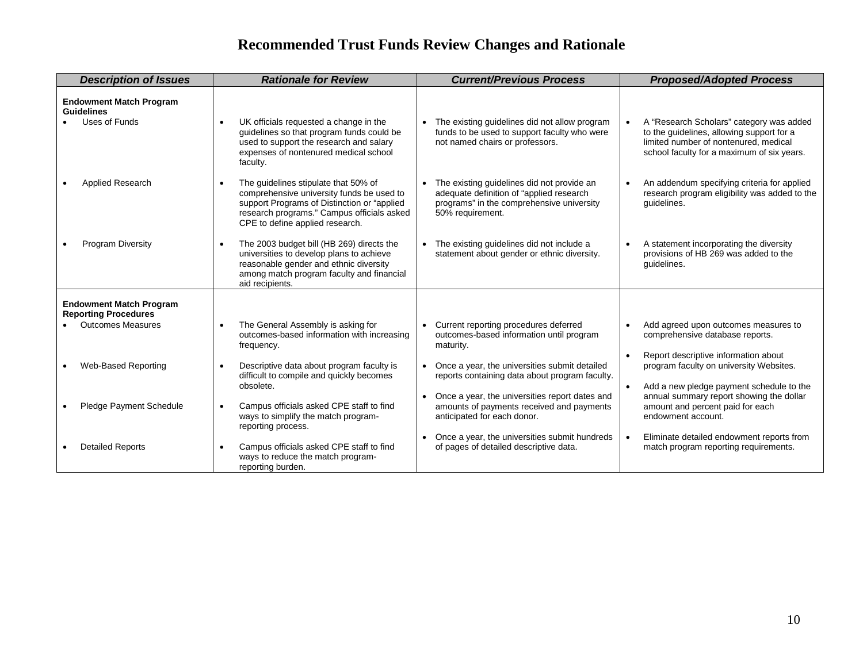# **Recommended Trust Funds Review Changes and Rationale**

| <b>Description of Issues</b>                                                              | <b>Rationale for Review</b>                                                                                                                                                                                                    | <b>Current/Previous Process</b>                                                                                                                         | <b>Proposed/Adopted Process</b>                                                                                                                                              |  |
|-------------------------------------------------------------------------------------------|--------------------------------------------------------------------------------------------------------------------------------------------------------------------------------------------------------------------------------|---------------------------------------------------------------------------------------------------------------------------------------------------------|------------------------------------------------------------------------------------------------------------------------------------------------------------------------------|--|
| <b>Endowment Match Program</b><br><b>Guidelines</b><br>Uses of Funds                      | UK officials requested a change in the<br>$\bullet$<br>guidelines so that program funds could be<br>used to support the research and salary<br>expenses of nontenured medical school<br>faculty.                               | The existing guidelines did not allow program<br>funds to be used to support faculty who were<br>not named chairs or professors.                        | A "Research Scholars" category was added<br>to the guidelines, allowing support for a<br>limited number of nontenured, medical<br>school faculty for a maximum of six years. |  |
| Applied Research                                                                          | The quidelines stipulate that 50% of<br>$\bullet$<br>comprehensive university funds be used to<br>support Programs of Distinction or "applied<br>research programs." Campus officials asked<br>CPE to define applied research. | The existing guidelines did not provide an<br>adequate definition of "applied research<br>programs" in the comprehensive university<br>50% requirement. | An addendum specifying criteria for applied<br>research program eligibility was added to the<br>quidelines.                                                                  |  |
| <b>Program Diversity</b>                                                                  | The 2003 budget bill (HB 269) directs the<br>$\bullet$<br>universities to develop plans to achieve<br>reasonable gender and ethnic diversity<br>among match program faculty and financial<br>aid recipients.                   | The existing guidelines did not include a<br>statement about gender or ethnic diversity.                                                                | A statement incorporating the diversity<br>provisions of HB 269 was added to the<br>guidelines.                                                                              |  |
| <b>Endowment Match Program</b><br><b>Reporting Procedures</b><br><b>Outcomes Measures</b> | The General Assembly is asking for                                                                                                                                                                                             | Current reporting procedures deferred                                                                                                                   | Add agreed upon outcomes measures to                                                                                                                                         |  |
|                                                                                           | outcomes-based information with increasing<br>frequency.                                                                                                                                                                       | outcomes-based information until program<br>maturity.                                                                                                   | comprehensive database reports.<br>Report descriptive information about<br>$\bullet$                                                                                         |  |
| Web-Based Reporting                                                                       | Descriptive data about program faculty is<br>$\bullet$<br>difficult to compile and quickly becomes<br>obsolete.                                                                                                                | • Once a year, the universities submit detailed<br>reports containing data about program faculty.                                                       | program faculty on university Websites.<br>Add a new pledge payment schedule to the<br>$\bullet$                                                                             |  |
| Pledge Payment Schedule                                                                   | Campus officials asked CPE staff to find<br>$\bullet$<br>ways to simplify the match program-<br>reporting process.                                                                                                             | Once a year, the universities report dates and<br>amounts of payments received and payments<br>anticipated for each donor.                              | annual summary report showing the dollar<br>amount and percent paid for each<br>endowment account.                                                                           |  |
| <b>Detailed Reports</b>                                                                   | Campus officials asked CPE staff to find<br>$\bullet$<br>ways to reduce the match program-<br>reporting burden.                                                                                                                | • Once a year, the universities submit hundreds<br>of pages of detailed descriptive data.                                                               | Eliminate detailed endowment reports from<br>match program reporting requirements.                                                                                           |  |